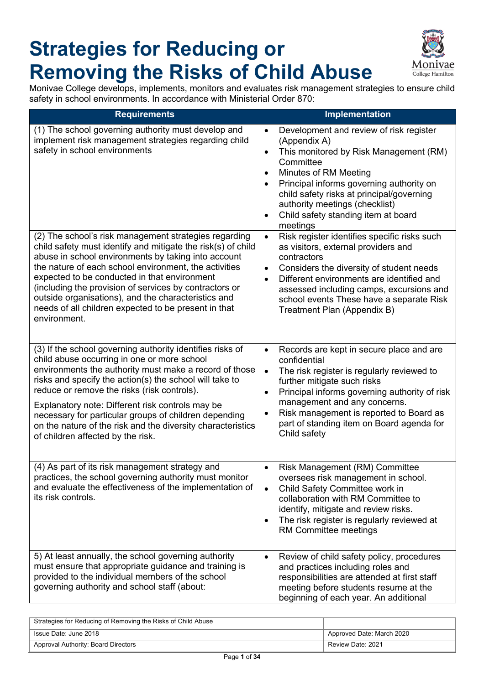## **Strategies for Reducing or Removing the Risks of Child Abuse**



Monivae College develops, implements, monitors and evaluates risk management strategies to ensure child safety in school environments. In accordance with Ministerial Order 870:

| <b>Requirements</b>                                                                                                                                                                                                                                                                                                                                                                                                                                                                           | Implementation                                                                                                                                                                                                                                                                                                                                                                         |
|-----------------------------------------------------------------------------------------------------------------------------------------------------------------------------------------------------------------------------------------------------------------------------------------------------------------------------------------------------------------------------------------------------------------------------------------------------------------------------------------------|----------------------------------------------------------------------------------------------------------------------------------------------------------------------------------------------------------------------------------------------------------------------------------------------------------------------------------------------------------------------------------------|
| (1) The school governing authority must develop and<br>implement risk management strategies regarding child<br>safety in school environments                                                                                                                                                                                                                                                                                                                                                  | Development and review of risk register<br>$\bullet$<br>(Appendix A)<br>This monitored by Risk Management (RM)<br>$\bullet$<br>Committee<br>Minutes of RM Meeting<br>$\bullet$<br>Principal informs governing authority on<br>$\bullet$<br>child safety risks at principal/governing<br>authority meetings (checklist)<br>Child safety standing item at board<br>$\bullet$<br>meetings |
| (2) The school's risk management strategies regarding<br>child safety must identify and mitigate the risk(s) of child<br>abuse in school environments by taking into account<br>the nature of each school environment, the activities<br>expected to be conducted in that environment<br>(including the provision of services by contractors or<br>outside organisations), and the characteristics and<br>needs of all children expected to be present in that<br>environment.                | Risk register identifies specific risks such<br>$\bullet$<br>as visitors, external providers and<br>contractors<br>Considers the diversity of student needs<br>$\bullet$<br>Different environments are identified and<br>$\bullet$<br>assessed including camps, excursions and<br>school events These have a separate Risk<br>Treatment Plan (Appendix B)                              |
| (3) If the school governing authority identifies risks of<br>child abuse occurring in one or more school<br>environments the authority must make a record of those<br>risks and specify the action(s) the school will take to<br>reduce or remove the risks (risk controls).<br>Explanatory note: Different risk controls may be<br>necessary for particular groups of children depending<br>on the nature of the risk and the diversity characteristics<br>of children affected by the risk. | Records are kept in secure place and are<br>$\bullet$<br>confidential<br>$\bullet$<br>The risk register is regularly reviewed to<br>further mitigate such risks<br>Principal informs governing authority of risk<br>$\bullet$<br>management and any concerns.<br>Risk management is reported to Board as<br>$\bullet$<br>part of standing item on Board agenda for<br>Child safety     |
| (4) As part of its risk management strategy and<br>practices, the school governing authority must monitor<br>and evaluate the effectiveness of the implementation of<br>its risk controls.                                                                                                                                                                                                                                                                                                    | Risk Management (RM) Committee<br>$\bullet$<br>oversees risk management in school.<br>Child Safety Committee work in<br>$\bullet$<br>collaboration with RM Committee to<br>identify, mitigate and review risks.<br>The risk register is regularly reviewed at<br>$\bullet$<br>RM Committee meetings                                                                                    |
| 5) At least annually, the school governing authority<br>must ensure that appropriate guidance and training is<br>provided to the individual members of the school<br>governing authority and school staff (about:                                                                                                                                                                                                                                                                             | Review of child safety policy, procedures<br>$\bullet$<br>and practices including roles and<br>responsibilities are attended at first staff<br>meeting before students resume at the<br>beginning of each year. An additional                                                                                                                                                          |

| Strategies for Reducing of Removing the Risks of Child Abuse |                           |
|--------------------------------------------------------------|---------------------------|
| Issue Date: June 2018                                        | Approved Date: March 2020 |
| Approval Authority: Board Directors                          | Review Date: 2021         |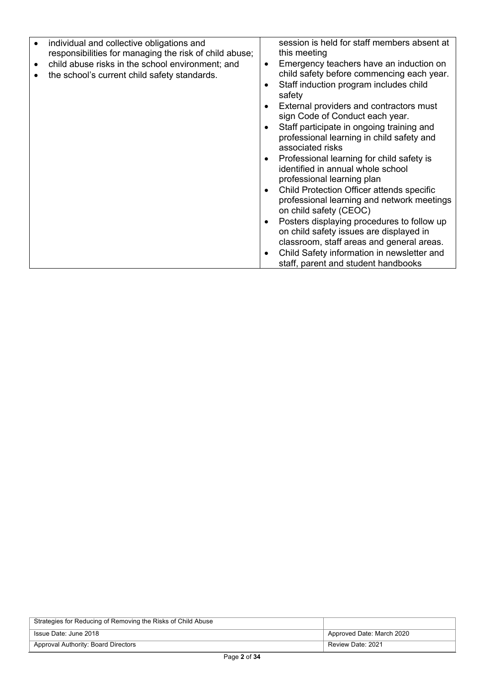| individual and collective obligations and<br>responsibilities for managing the risk of child abuse;<br>child abuse risks in the school environment; and<br>the school's current child safety standards. | session is held for staff members absent at<br>this meeting<br>Emergency teachers have an induction on<br>$\bullet$<br>child safety before commencing each year.<br>Staff induction program includes child<br>٠<br>safety<br>External providers and contractors must<br>$\bullet$<br>sign Code of Conduct each year.<br>Staff participate in ongoing training and<br>$\bullet$<br>professional learning in child safety and<br>associated risks<br>Professional learning for child safety is<br>$\bullet$<br>identified in annual whole school<br>professional learning plan<br>Child Protection Officer attends specific<br>$\bullet$<br>professional learning and network meetings<br>on child safety (CEOC)<br>Posters displaying procedures to follow up<br>$\bullet$<br>on child safety issues are displayed in<br>classroom, staff areas and general areas.<br>Child Safety information in newsletter and<br>$\bullet$<br>staff, parent and student handbooks |
|---------------------------------------------------------------------------------------------------------------------------------------------------------------------------------------------------------|---------------------------------------------------------------------------------------------------------------------------------------------------------------------------------------------------------------------------------------------------------------------------------------------------------------------------------------------------------------------------------------------------------------------------------------------------------------------------------------------------------------------------------------------------------------------------------------------------------------------------------------------------------------------------------------------------------------------------------------------------------------------------------------------------------------------------------------------------------------------------------------------------------------------------------------------------------------------|
|---------------------------------------------------------------------------------------------------------------------------------------------------------------------------------------------------------|---------------------------------------------------------------------------------------------------------------------------------------------------------------------------------------------------------------------------------------------------------------------------------------------------------------------------------------------------------------------------------------------------------------------------------------------------------------------------------------------------------------------------------------------------------------------------------------------------------------------------------------------------------------------------------------------------------------------------------------------------------------------------------------------------------------------------------------------------------------------------------------------------------------------------------------------------------------------|

| Strategies for Reducing of Removing the Risks of Child Abuse |                           |
|--------------------------------------------------------------|---------------------------|
| Issue Date: June 2018                                        | Approved Date: March 2020 |
| Approval Authority: Board Directors                          | Review Date: 2021         |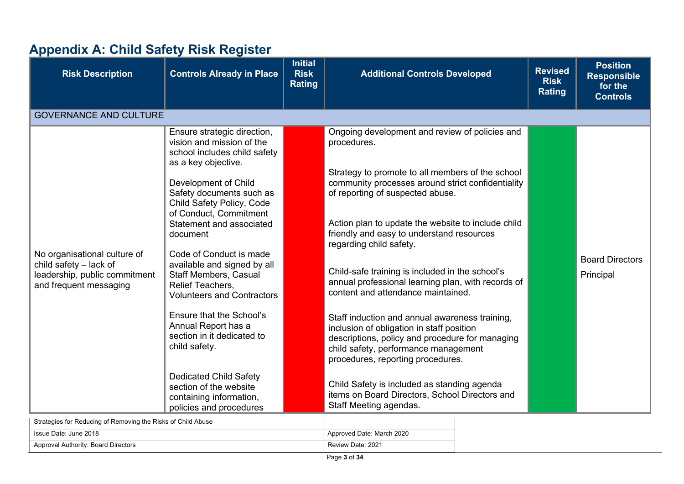## **Appendix A: Child Safety Risk Register**

| <b>Risk Description</b>                                                                                             | <b>Controls Already in Place</b>                                                                                                                                                                                                                                                                                                                                                                                                                                                                                                                                                                                                  | <b>Initial</b><br><b>Risk</b><br><b>Rating</b> | <b>Additional Controls Developed</b>                                                                                                                                                                                                                                                                                                                                                                                                                                                                                                                                                                                                                                                                                                                                                                                                              | <b>Revised</b><br><b>Risk</b><br><b>Rating</b> | <b>Position</b><br><b>Responsible</b><br>for the<br><b>Controls</b> |
|---------------------------------------------------------------------------------------------------------------------|-----------------------------------------------------------------------------------------------------------------------------------------------------------------------------------------------------------------------------------------------------------------------------------------------------------------------------------------------------------------------------------------------------------------------------------------------------------------------------------------------------------------------------------------------------------------------------------------------------------------------------------|------------------------------------------------|---------------------------------------------------------------------------------------------------------------------------------------------------------------------------------------------------------------------------------------------------------------------------------------------------------------------------------------------------------------------------------------------------------------------------------------------------------------------------------------------------------------------------------------------------------------------------------------------------------------------------------------------------------------------------------------------------------------------------------------------------------------------------------------------------------------------------------------------------|------------------------------------------------|---------------------------------------------------------------------|
| <b>GOVERNANCE AND CULTURE</b>                                                                                       |                                                                                                                                                                                                                                                                                                                                                                                                                                                                                                                                                                                                                                   |                                                |                                                                                                                                                                                                                                                                                                                                                                                                                                                                                                                                                                                                                                                                                                                                                                                                                                                   |                                                |                                                                     |
| No organisational culture of<br>child safety $-$ lack of<br>leadership, public commitment<br>and frequent messaging | Ensure strategic direction,<br>vision and mission of the<br>school includes child safety<br>as a key objective.<br>Development of Child<br>Safety documents such as<br>Child Safety Policy, Code<br>of Conduct, Commitment<br>Statement and associated<br>document<br>Code of Conduct is made<br>available and signed by all<br>Staff Members, Casual<br>Relief Teachers,<br><b>Volunteers and Contractors</b><br>Ensure that the School's<br>Annual Report has a<br>section in it dedicated to<br>child safety.<br><b>Dedicated Child Safety</b><br>section of the website<br>containing information,<br>policies and procedures |                                                | Ongoing development and review of policies and<br>procedures.<br>Strategy to promote to all members of the school<br>community processes around strict confidentiality<br>of reporting of suspected abuse.<br>Action plan to update the website to include child<br>friendly and easy to understand resources<br>regarding child safety.<br>Child-safe training is included in the school's<br>annual professional learning plan, with records of<br>content and attendance maintained.<br>Staff induction and annual awareness training,<br>inclusion of obligation in staff position<br>descriptions, policy and procedure for managing<br>child safety, performance management<br>procedures, reporting procedures.<br>Child Safety is included as standing agenda<br>items on Board Directors, School Directors and<br>Staff Meeting agendas. |                                                | <b>Board Directors</b><br>Principal                                 |

| Strategies for Reducing of Removing the Risks of Child Abuse |                           |
|--------------------------------------------------------------|---------------------------|
| Issue Date: June 2018                                        | Approved Date: March 2020 |
| Approval Authority: Board Directors                          | Review Date: 2021         |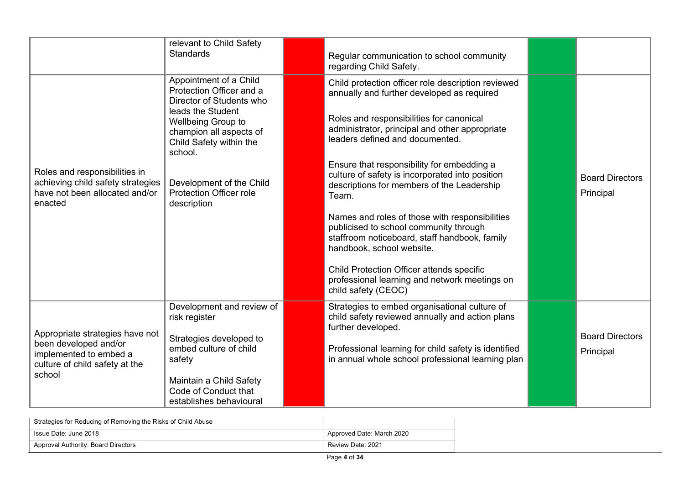|                                                                                                                                | relevant to Child Safety<br><b>Standards</b>                                                                                                                                                                                                                            | Regular communication to school community<br>regarding Child Safety.                                                                                                                                                                                                                                                                                                                                                                                                                                                                                                                                                                                                                     |                                     |
|--------------------------------------------------------------------------------------------------------------------------------|-------------------------------------------------------------------------------------------------------------------------------------------------------------------------------------------------------------------------------------------------------------------------|------------------------------------------------------------------------------------------------------------------------------------------------------------------------------------------------------------------------------------------------------------------------------------------------------------------------------------------------------------------------------------------------------------------------------------------------------------------------------------------------------------------------------------------------------------------------------------------------------------------------------------------------------------------------------------------|-------------------------------------|
| Roles and responsibilities in<br>achieving child safety strategies<br>have not been allocated and/or<br>enacted                | Appointment of a Child<br>Protection Officer and a<br>Director of Students who<br>leads the Student<br>Wellbeing Group to<br>champion all aspects of<br>Child Safety within the<br>school.<br>Development of the Child<br><b>Protection Officer role</b><br>description | Child protection officer role description reviewed<br>annually and further developed as required<br>Roles and responsibilities for canonical<br>administrator, principal and other appropriate<br>leaders defined and documented.<br>Ensure that responsibility for embedding a<br>culture of safety is incorporated into position<br>descriptions for members of the Leadership<br>Team.<br>Names and roles of those with responsibilities<br>publicised to school community through<br>staffroom noticeboard, staff handbook, family<br>handbook, school website.<br>Child Protection Officer attends specific<br>professional learning and network meetings on<br>child safety (CEOC) | <b>Board Directors</b><br>Principal |
| Appropriate strategies have not<br>been developed and/or<br>implemented to embed a<br>culture of child safety at the<br>school | Development and review of<br>risk register<br>Strategies developed to<br>embed culture of child<br>safety<br>Maintain a Child Safety<br>Code of Conduct that<br>establishes behavioural                                                                                 | Strategies to embed organisational culture of<br>child safety reviewed annually and action plans<br>further developed.<br>Professional learning for child safety is identified<br>in annual whole school professional learning plan                                                                                                                                                                                                                                                                                                                                                                                                                                                      | <b>Board Directors</b><br>Principal |

| Strategies for Reducing of Removing the Risks of Child Abuse |                           |
|--------------------------------------------------------------|---------------------------|
| Issue Date: June 2018                                        | Approved Date: March 2020 |
| Approval Authority: Board Directors                          | Review Date: 2021         |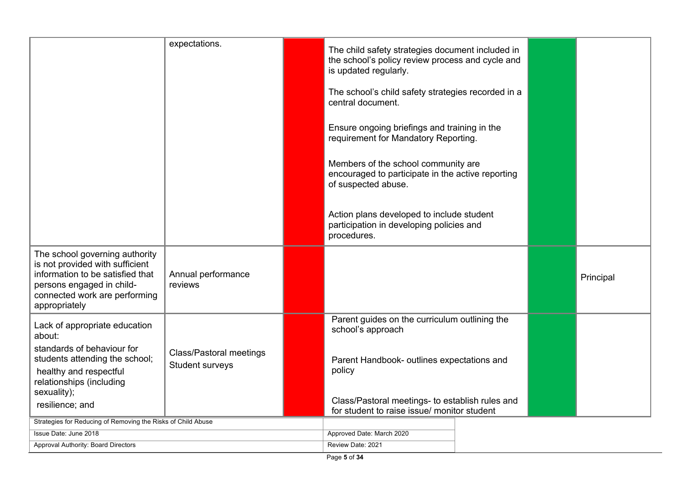|                                                                                                                                                                                      | expectations.                                     | The child safety strategies document included in<br>the school's policy review process and cycle and            |  |  |           |
|--------------------------------------------------------------------------------------------------------------------------------------------------------------------------------------|---------------------------------------------------|-----------------------------------------------------------------------------------------------------------------|--|--|-----------|
|                                                                                                                                                                                      |                                                   | is updated regularly.                                                                                           |  |  |           |
|                                                                                                                                                                                      |                                                   | The school's child safety strategies recorded in a<br>central document.                                         |  |  |           |
|                                                                                                                                                                                      |                                                   | Ensure ongoing briefings and training in the<br>requirement for Mandatory Reporting.                            |  |  |           |
|                                                                                                                                                                                      |                                                   | Members of the school community are<br>encouraged to participate in the active reporting<br>of suspected abuse. |  |  |           |
|                                                                                                                                                                                      |                                                   | Action plans developed to include student<br>participation in developing policies and<br>procedures.            |  |  |           |
| The school governing authority<br>is not provided with sufficient<br>information to be satisfied that<br>persons engaged in child-<br>connected work are performing<br>appropriately | Annual performance<br>reviews                     |                                                                                                                 |  |  | Principal |
| Lack of appropriate education<br>about:                                                                                                                                              |                                                   | Parent guides on the curriculum outlining the<br>school's approach                                              |  |  |           |
| standards of behaviour for<br>students attending the school;<br>healthy and respectful<br>relationships (including                                                                   | <b>Class/Pastoral meetings</b><br>Student surveys | Parent Handbook- outlines expectations and<br>policy                                                            |  |  |           |
| sexuality);<br>resilience; and                                                                                                                                                       |                                                   | Class/Pastoral meetings- to establish rules and<br>for student to raise issue/ monitor student                  |  |  |           |
| Strategies for Reducing of Removing the Risks of Child Abuse                                                                                                                         |                                                   |                                                                                                                 |  |  |           |
| Issue Date: June 2018                                                                                                                                                                |                                                   | Approved Date: March 2020                                                                                       |  |  |           |
| Approval Authority: Board Directors                                                                                                                                                  |                                                   | Review Date: 2021                                                                                               |  |  |           |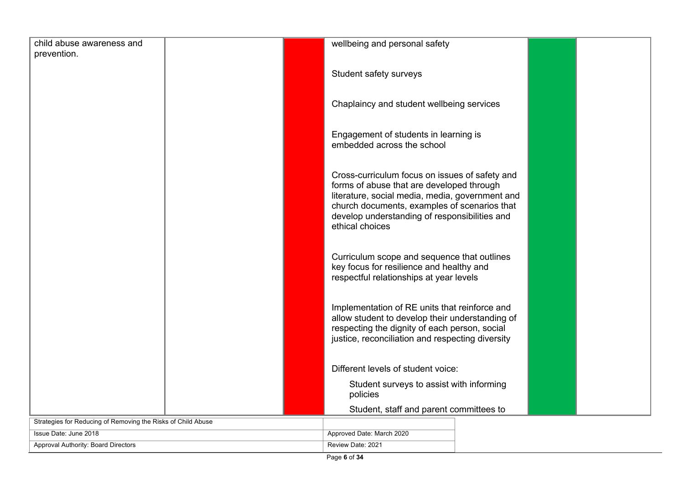| child abuse awareness and                                    | wellbeing and personal safety                                                                 |
|--------------------------------------------------------------|-----------------------------------------------------------------------------------------------|
| prevention.                                                  |                                                                                               |
|                                                              |                                                                                               |
|                                                              | Student safety surveys                                                                        |
|                                                              |                                                                                               |
|                                                              | Chaplaincy and student wellbeing services                                                     |
|                                                              |                                                                                               |
|                                                              |                                                                                               |
|                                                              | Engagement of students in learning is                                                         |
|                                                              | embedded across the school                                                                    |
|                                                              |                                                                                               |
|                                                              |                                                                                               |
|                                                              | Cross-curriculum focus on issues of safety and                                                |
|                                                              | forms of abuse that are developed through                                                     |
|                                                              | literature, social media, media, government and                                               |
|                                                              | church documents, examples of scenarios that<br>develop understanding of responsibilities and |
|                                                              | ethical choices                                                                               |
|                                                              |                                                                                               |
|                                                              |                                                                                               |
|                                                              | Curriculum scope and sequence that outlines                                                   |
|                                                              | key focus for resilience and healthy and                                                      |
|                                                              | respectful relationships at year levels                                                       |
|                                                              |                                                                                               |
|                                                              |                                                                                               |
|                                                              | Implementation of RE units that reinforce and                                                 |
|                                                              | allow student to develop their understanding of                                               |
|                                                              | respecting the dignity of each person, social                                                 |
|                                                              | justice, reconciliation and respecting diversity                                              |
|                                                              |                                                                                               |
|                                                              | Different levels of student voice:                                                            |
|                                                              |                                                                                               |
|                                                              | Student surveys to assist with informing                                                      |
|                                                              | policies                                                                                      |
|                                                              | Student, staff and parent committees to                                                       |
| Strategies for Reducing of Removing the Risks of Child Abuse |                                                                                               |
| Issue Date: June 2018                                        | Approved Date: March 2020                                                                     |
| <b>Approval Authority: Board Directors</b>                   | Review Date: 2021                                                                             |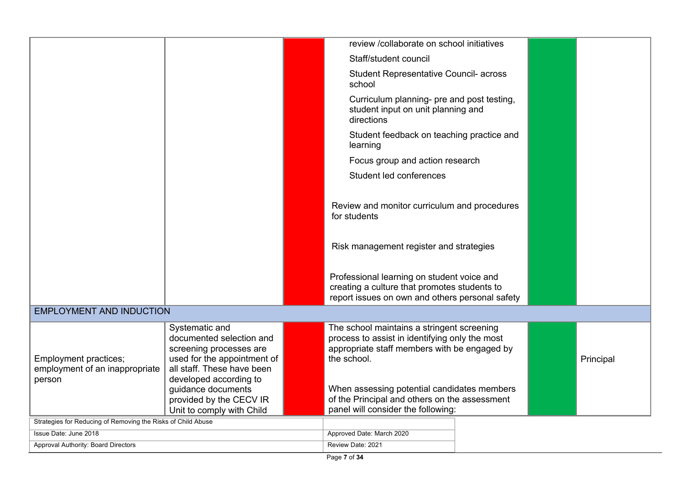|                                                              |                                                                                                                                    | review /collaborate on school initiatives                                                                                                                   |  |           |
|--------------------------------------------------------------|------------------------------------------------------------------------------------------------------------------------------------|-------------------------------------------------------------------------------------------------------------------------------------------------------------|--|-----------|
|                                                              |                                                                                                                                    | Staff/student council                                                                                                                                       |  |           |
|                                                              |                                                                                                                                    | <b>Student Representative Council- across</b><br>school                                                                                                     |  |           |
|                                                              |                                                                                                                                    | Curriculum planning- pre and post testing,<br>student input on unit planning and<br>directions                                                              |  |           |
|                                                              |                                                                                                                                    | Student feedback on teaching practice and<br>learning                                                                                                       |  |           |
|                                                              |                                                                                                                                    | Focus group and action research                                                                                                                             |  |           |
|                                                              |                                                                                                                                    | Student led conferences                                                                                                                                     |  |           |
|                                                              |                                                                                                                                    |                                                                                                                                                             |  |           |
|                                                              |                                                                                                                                    | Review and monitor curriculum and procedures<br>for students                                                                                                |  |           |
|                                                              |                                                                                                                                    | Risk management register and strategies                                                                                                                     |  |           |
|                                                              |                                                                                                                                    | Professional learning on student voice and<br>creating a culture that promotes students to<br>report issues on own and others personal safety               |  |           |
| <b>EMPLOYMENT AND INDUCTION</b>                              |                                                                                                                                    |                                                                                                                                                             |  |           |
| Employment practices;<br>employment of an inappropriate      | Systematic and<br>documented selection and<br>screening processes are<br>used for the appointment of<br>all staff. These have been | The school maintains a stringent screening<br>process to assist in identifying only the most<br>appropriate staff members with be engaged by<br>the school. |  | Principal |
| person                                                       | developed according to<br>guidance documents<br>provided by the CECV IR<br>Unit to comply with Child                               | When assessing potential candidates members<br>of the Principal and others on the assessment<br>panel will consider the following:                          |  |           |
| Strategies for Reducing of Removing the Risks of Child Abuse |                                                                                                                                    |                                                                                                                                                             |  |           |
| Issue Date: June 2018                                        |                                                                                                                                    | Approved Date: March 2020                                                                                                                                   |  |           |
| Approval Authority: Board Directors                          |                                                                                                                                    | Review Date: 2021                                                                                                                                           |  |           |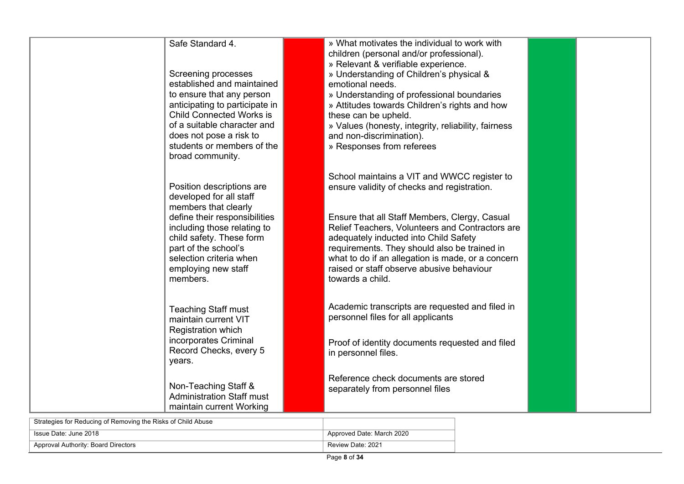| Safe Standard 4.<br>Screening processes<br>established and maintained<br>to ensure that any person<br>anticipating to participate in<br><b>Child Connected Works is</b><br>of a suitable character and<br>does not pose a risk to<br>students or members of the<br>broad community. | » What motivates the individual to work with<br>children (personal and/or professional).<br>» Relevant & verifiable experience.<br>» Understanding of Children's physical &<br>emotional needs.<br>» Understanding of professional boundaries<br>» Attitudes towards Children's rights and how<br>these can be upheld.<br>» Values (honesty, integrity, reliability, fairness<br>and non-discrimination).<br>» Responses from referees |
|-------------------------------------------------------------------------------------------------------------------------------------------------------------------------------------------------------------------------------------------------------------------------------------|----------------------------------------------------------------------------------------------------------------------------------------------------------------------------------------------------------------------------------------------------------------------------------------------------------------------------------------------------------------------------------------------------------------------------------------|
| Position descriptions are<br>developed for all staff<br>members that clearly<br>define their responsibilities<br>including those relating to<br>child safety. These form<br>part of the school's<br>selection criteria when<br>employing new staff<br>members.                      | School maintains a VIT and WWCC register to<br>ensure validity of checks and registration.<br>Ensure that all Staff Members, Clergy, Casual<br>Relief Teachers, Volunteers and Contractors are<br>adequately inducted into Child Safety<br>requirements. They should also be trained in<br>what to do if an allegation is made, or a concern<br>raised or staff observe abusive behaviour<br>towards a child.                          |
| <b>Teaching Staff must</b><br>maintain current VIT<br><b>Registration which</b><br>incorporates Criminal<br>Record Checks, every 5<br>years.                                                                                                                                        | Academic transcripts are requested and filed in<br>personnel files for all applicants<br>Proof of identity documents requested and filed<br>in personnel files.                                                                                                                                                                                                                                                                        |
| Non-Teaching Staff &<br><b>Administration Staff must</b><br>maintain current Working                                                                                                                                                                                                | Reference check documents are stored<br>separately from personnel files                                                                                                                                                                                                                                                                                                                                                                |

| Strategies for Reducing of Removing the Risks of Child Abuse |                           |  |
|--------------------------------------------------------------|---------------------------|--|
| Issue Date: June 2018                                        | Approved Date: March 2020 |  |
| Approval Authority: Board Directors                          | Review Date: 2021         |  |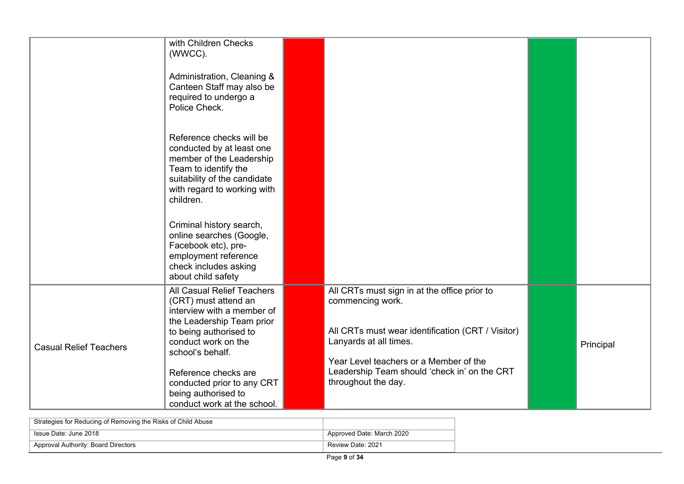|                               | with Children Checks<br>(WWCC).<br>Administration, Cleaning &<br>Canteen Staff may also be<br>required to undergo a<br>Police Check.                                                                                                                                                           |                                                                                                                                                                                                                                                                  |           |
|-------------------------------|------------------------------------------------------------------------------------------------------------------------------------------------------------------------------------------------------------------------------------------------------------------------------------------------|------------------------------------------------------------------------------------------------------------------------------------------------------------------------------------------------------------------------------------------------------------------|-----------|
|                               | Reference checks will be<br>conducted by at least one<br>member of the Leadership<br>Team to identify the<br>suitability of the candidate<br>with regard to working with<br>children.                                                                                                          |                                                                                                                                                                                                                                                                  |           |
|                               | Criminal history search,<br>online searches (Google,<br>Facebook etc), pre-<br>employment reference<br>check includes asking<br>about child safety                                                                                                                                             |                                                                                                                                                                                                                                                                  |           |
| <b>Casual Relief Teachers</b> | All Casual Relief Teachers<br>(CRT) must attend an<br>interview with a member of<br>the Leadership Team prior<br>to being authorised to<br>conduct work on the<br>school's behalf.<br>Reference checks are<br>conducted prior to any CRT<br>being authorised to<br>conduct work at the school. | All CRTs must sign in at the office prior to<br>commencing work.<br>All CRTs must wear identification (CRT / Visitor)<br>Lanyards at all times.<br>Year Level teachers or a Member of the<br>Leadership Team should 'check in' on the CRT<br>throughout the day. | Principal |

| Strategies for Reducing of Removing the Risks of Child Abuse |                           |
|--------------------------------------------------------------|---------------------------|
| Issue Date: June 2018                                        | Approved Date: March 2020 |
| Approval Authority: Board Directors                          | Review Date: 2021         |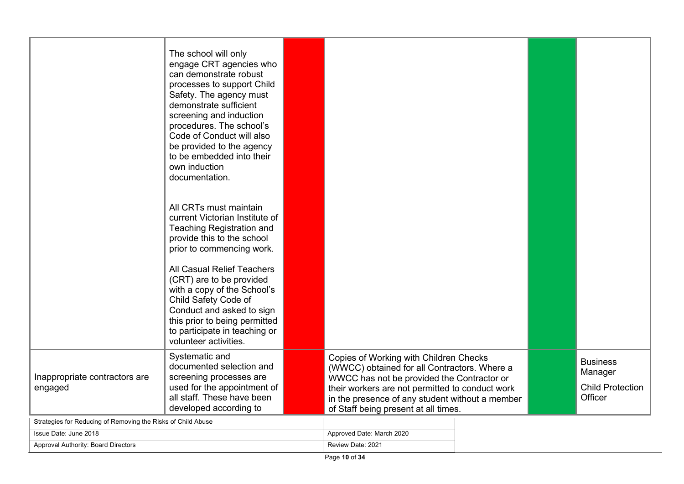|                                                              | The school will only<br>engage CRT agencies who<br>can demonstrate robust<br>processes to support Child<br>Safety. The agency must<br>demonstrate sufficient<br>screening and induction<br>procedures. The school's<br>Code of Conduct will also<br>be provided to the agency<br>to be embedded into their<br>own induction<br>documentation.<br>All CRTs must maintain<br>current Victorian Institute of<br><b>Teaching Registration and</b><br>provide this to the school<br>prior to commencing work.<br>All Casual Relief Teachers<br>(CRT) are to be provided<br>with a copy of the School's<br>Child Safety Code of<br>Conduct and asked to sign<br>this prior to being permitted<br>to participate in teaching or<br>volunteer activities. |                                                                                                                                                                                                                                                                                    |                                                                  |
|--------------------------------------------------------------|---------------------------------------------------------------------------------------------------------------------------------------------------------------------------------------------------------------------------------------------------------------------------------------------------------------------------------------------------------------------------------------------------------------------------------------------------------------------------------------------------------------------------------------------------------------------------------------------------------------------------------------------------------------------------------------------------------------------------------------------------|------------------------------------------------------------------------------------------------------------------------------------------------------------------------------------------------------------------------------------------------------------------------------------|------------------------------------------------------------------|
| Inappropriate contractors are<br>engaged                     | Systematic and<br>documented selection and<br>screening processes are<br>used for the appointment of<br>all staff. These have been<br>developed according to                                                                                                                                                                                                                                                                                                                                                                                                                                                                                                                                                                                      | Copies of Working with Children Checks<br>(WWCC) obtained for all Contractors. Where a<br>WWCC has not be provided the Contractor or<br>their workers are not permitted to conduct work<br>in the presence of any student without a member<br>of Staff being present at all times. | <b>Business</b><br>Manager<br><b>Child Protection</b><br>Officer |
| Strategies for Reducing of Removing the Risks of Child Abuse |                                                                                                                                                                                                                                                                                                                                                                                                                                                                                                                                                                                                                                                                                                                                                   |                                                                                                                                                                                                                                                                                    |                                                                  |
| Issue Date: June 2018                                        |                                                                                                                                                                                                                                                                                                                                                                                                                                                                                                                                                                                                                                                                                                                                                   | Approved Date: March 2020                                                                                                                                                                                                                                                          |                                                                  |
| Approval Authority: Board Directors                          |                                                                                                                                                                                                                                                                                                                                                                                                                                                                                                                                                                                                                                                                                                                                                   | Review Date: 2021                                                                                                                                                                                                                                                                  |                                                                  |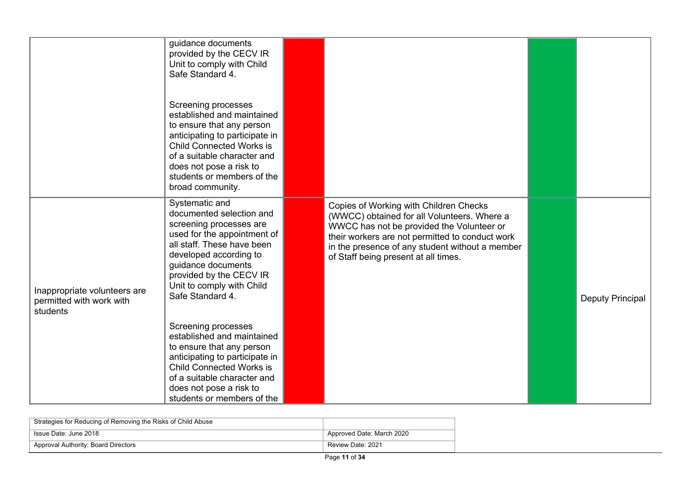|                                                                      | guidance documents<br>provided by the CECV IR<br>Unit to comply with Child<br>Safe Standard 4.                                                                                                                                                                  |                                                                                                                                                                                                                                                                                  |                  |
|----------------------------------------------------------------------|-----------------------------------------------------------------------------------------------------------------------------------------------------------------------------------------------------------------------------------------------------------------|----------------------------------------------------------------------------------------------------------------------------------------------------------------------------------------------------------------------------------------------------------------------------------|------------------|
|                                                                      | Screening processes<br>established and maintained<br>to ensure that any person<br>anticipating to participate in<br><b>Child Connected Works is</b><br>of a suitable character and<br>does not pose a risk to<br>students or members of the<br>broad community. |                                                                                                                                                                                                                                                                                  |                  |
| Inappropriate volunteers are<br>permitted with work with<br>students | Systematic and<br>documented selection and<br>screening processes are<br>used for the appointment of<br>all staff. These have been<br>developed according to<br>guidance documents<br>provided by the CECV IR<br>Unit to comply with Child<br>Safe Standard 4.  | Copies of Working with Children Checks<br>(WWCC) obtained for all Volunteers. Where a<br>WWCC has not be provided the Volunteer or<br>their workers are not permitted to conduct work<br>in the presence of any student without a member<br>of Staff being present at all times. | Deputy Principal |
|                                                                      | Screening processes<br>established and maintained<br>to ensure that any person<br>anticipating to participate in<br><b>Child Connected Works is</b><br>of a suitable character and<br>does not pose a risk to<br>students or members of the                     |                                                                                                                                                                                                                                                                                  |                  |

| Strategies for Reducing of Removing the Risks of Child Abuse |                           |
|--------------------------------------------------------------|---------------------------|
| Issue Date: June 2018                                        | Approved Date: March 2020 |
| Approval Authority: Board Directors                          | Review Date: 2021         |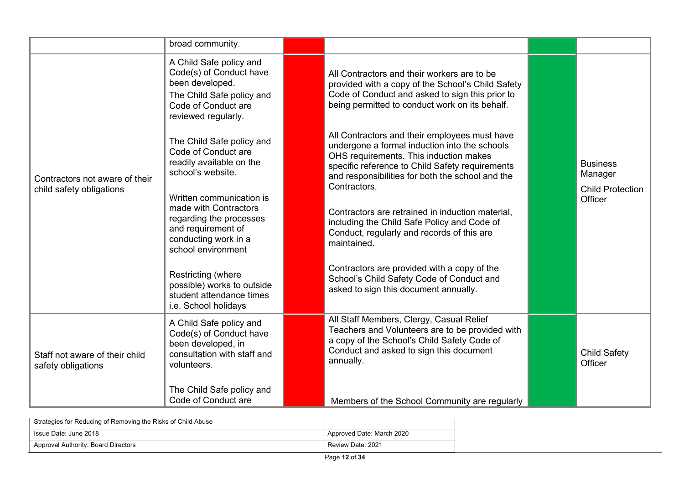|                                                            | broad community.                                                                                                                                 |                                                                                                                                                                                                                                                                 |                                                       |
|------------------------------------------------------------|--------------------------------------------------------------------------------------------------------------------------------------------------|-----------------------------------------------------------------------------------------------------------------------------------------------------------------------------------------------------------------------------------------------------------------|-------------------------------------------------------|
|                                                            | A Child Safe policy and<br>Code(s) of Conduct have<br>been developed.<br>The Child Safe policy and<br>Code of Conduct are<br>reviewed regularly. | All Contractors and their workers are to be<br>provided with a copy of the School's Child Safety<br>Code of Conduct and asked to sign this prior to<br>being permitted to conduct work on its behalf.                                                           |                                                       |
| Contractors not aware of their<br>child safety obligations | The Child Safe policy and<br>Code of Conduct are<br>readily available on the<br>school's website.                                                | All Contractors and their employees must have<br>undergone a formal induction into the schools<br>OHS requirements. This induction makes<br>specific reference to Child Safety requirements<br>and responsibilities for both the school and the<br>Contractors. | <b>Business</b><br>Manager<br><b>Child Protection</b> |
|                                                            | Written communication is<br>made with Contractors<br>regarding the processes<br>and requirement of<br>conducting work in a<br>school environment | Contractors are retrained in induction material,<br>including the Child Safe Policy and Code of<br>Conduct, regularly and records of this are<br>maintained.                                                                                                    | Officer                                               |
|                                                            | Restricting (where<br>possible) works to outside<br>student attendance times<br>i.e. School holidays                                             | Contractors are provided with a copy of the<br>School's Child Safety Code of Conduct and<br>asked to sign this document annually.                                                                                                                               |                                                       |
| Staff not aware of their child<br>safety obligations       | A Child Safe policy and<br>Code(s) of Conduct have<br>been developed, in<br>consultation with staff and<br>volunteers.                           | All Staff Members, Clergy, Casual Relief<br>Teachers and Volunteers are to be provided with<br>a copy of the School's Child Safety Code of<br>Conduct and asked to sign this document<br>annually.                                                              | <b>Child Safety</b><br>Officer                        |
|                                                            | The Child Safe policy and<br>Code of Conduct are                                                                                                 | Members of the School Community are regularly                                                                                                                                                                                                                   |                                                       |

| Strategies for Reducing of Removing the Risks of Child Abuse |                           |
|--------------------------------------------------------------|---------------------------|
| Issue Date: June 2018                                        | Approved Date: March 2020 |
| Approval Authority: Board Directors                          | Review Date: 2021         |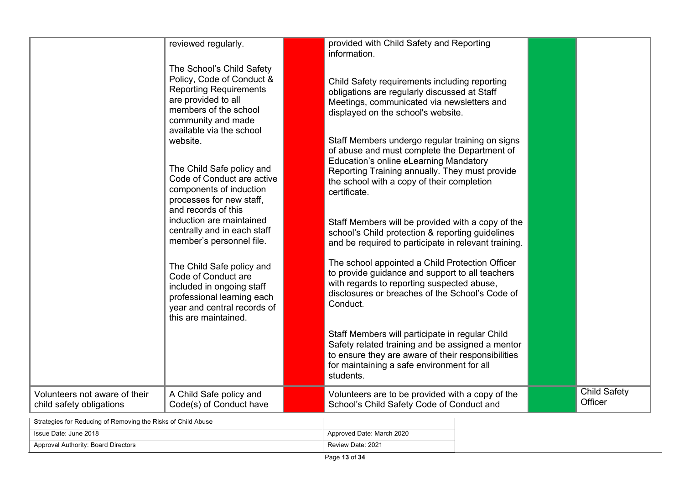|                                                              | reviewed regularly.                                                                                                                                                | provided with Child Safety and Reporting<br>information.                                                                                                                                                                                                  |                                |
|--------------------------------------------------------------|--------------------------------------------------------------------------------------------------------------------------------------------------------------------|-----------------------------------------------------------------------------------------------------------------------------------------------------------------------------------------------------------------------------------------------------------|--------------------------------|
|                                                              | The School's Child Safety<br>Policy, Code of Conduct &<br><b>Reporting Requirements</b><br>are provided to all<br>members of the school<br>community and made      | Child Safety requirements including reporting<br>obligations are regularly discussed at Staff<br>Meetings, communicated via newsletters and<br>displayed on the school's website.                                                                         |                                |
|                                                              | available via the school<br>website.<br>The Child Safe policy and<br>Code of Conduct are active<br>components of induction<br>processes for new staff,             | Staff Members undergo regular training on signs<br>of abuse and must complete the Department of<br>Education's online eLearning Mandatory<br>Reporting Training annually. They must provide<br>the school with a copy of their completion<br>certificate. |                                |
|                                                              | and records of this<br>induction are maintained<br>centrally and in each staff<br>member's personnel file.                                                         | Staff Members will be provided with a copy of the<br>school's Child protection & reporting guidelines<br>and be required to participate in relevant training.                                                                                             |                                |
|                                                              | The Child Safe policy and<br>Code of Conduct are<br>included in ongoing staff<br>professional learning each<br>year and central records of<br>this are maintained. | The school appointed a Child Protection Officer<br>to provide guidance and support to all teachers<br>with regards to reporting suspected abuse,<br>disclosures or breaches of the School's Code of<br>Conduct.                                           |                                |
|                                                              |                                                                                                                                                                    | Staff Members will participate in regular Child<br>Safety related training and be assigned a mentor<br>to ensure they are aware of their responsibilities<br>for maintaining a safe environment for all<br>students.                                      |                                |
| Volunteers not aware of their<br>child safety obligations    | A Child Safe policy and<br>Code(s) of Conduct have                                                                                                                 | Volunteers are to be provided with a copy of the<br>School's Child Safety Code of Conduct and                                                                                                                                                             | <b>Child Safety</b><br>Officer |
| Strategies for Reducing of Removing the Risks of Child Abuse |                                                                                                                                                                    |                                                                                                                                                                                                                                                           |                                |

| Strategies for Reducing of Removing the Risks of Child Abuse |                           |
|--------------------------------------------------------------|---------------------------|
| ່ Issue Date: June 2018                                      | Approved Date: March 2020 |
| Approval Authority: Board Directors                          | Review Date: 2021         |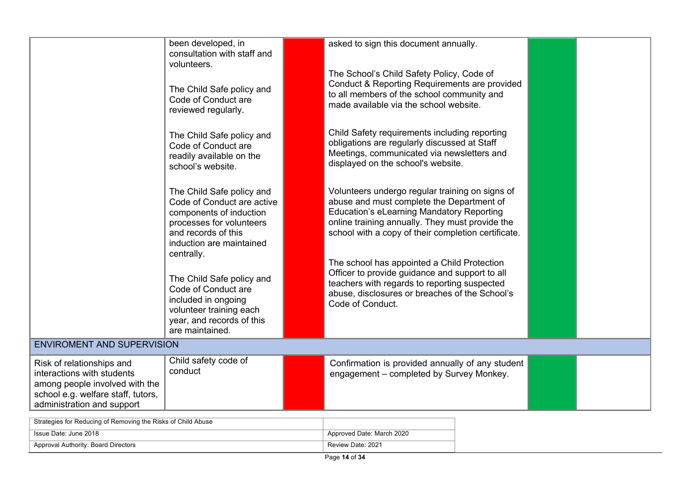|                                                                                                                                                               | been developed, in<br>consultation with staff and<br>volunteers.<br>The Child Safe policy and<br>Code of Conduct are<br>reviewed regularly.<br>The Child Safe policy and<br>Code of Conduct are<br>readily available on the<br>school's website.<br>The Child Safe policy and<br>Code of Conduct are active<br>components of induction<br>processes for volunteers<br>and records of this<br>induction are maintained<br>centrally.<br>The Child Safe policy and<br>Code of Conduct are<br>included in ongoing<br>volunteer training each<br>year, and records of this<br>are maintained. | asked to sign this document annually.<br>The School's Child Safety Policy, Code of<br>Conduct & Reporting Requirements are provided<br>to all members of the school community and<br>made available via the school website.<br>Child Safety requirements including reporting<br>obligations are regularly discussed at Staff<br>Meetings, communicated via newsletters and<br>displayed on the school's website.<br>Volunteers undergo regular training on signs of<br>abuse and must complete the Department of<br><b>Education's eLearning Mandatory Reporting</b><br>online training annually. They must provide the<br>school with a copy of their completion certificate.<br>The school has appointed a Child Protection<br>Officer to provide guidance and support to all<br>teachers with regards to reporting suspected<br>abuse, disclosures or breaches of the School's<br>Code of Conduct. |  |
|---------------------------------------------------------------------------------------------------------------------------------------------------------------|-------------------------------------------------------------------------------------------------------------------------------------------------------------------------------------------------------------------------------------------------------------------------------------------------------------------------------------------------------------------------------------------------------------------------------------------------------------------------------------------------------------------------------------------------------------------------------------------|-------------------------------------------------------------------------------------------------------------------------------------------------------------------------------------------------------------------------------------------------------------------------------------------------------------------------------------------------------------------------------------------------------------------------------------------------------------------------------------------------------------------------------------------------------------------------------------------------------------------------------------------------------------------------------------------------------------------------------------------------------------------------------------------------------------------------------------------------------------------------------------------------------|--|
| <b>ENVIROMENT AND SUPERVISION</b>                                                                                                                             |                                                                                                                                                                                                                                                                                                                                                                                                                                                                                                                                                                                           |                                                                                                                                                                                                                                                                                                                                                                                                                                                                                                                                                                                                                                                                                                                                                                                                                                                                                                       |  |
| Risk of relationships and<br>interactions with students<br>among people involved with the<br>school e.g. welfare staff, tutors,<br>administration and support | Child safety code of<br>conduct                                                                                                                                                                                                                                                                                                                                                                                                                                                                                                                                                           | Confirmation is provided annually of any student<br>engagement - completed by Survey Monkey.                                                                                                                                                                                                                                                                                                                                                                                                                                                                                                                                                                                                                                                                                                                                                                                                          |  |

| Strategies for Reducing of Removing the Risks of Child Abuse |                           |
|--------------------------------------------------------------|---------------------------|
| Sue Date: June 2018                                          | Approved Date: March 2020 |
| Approval Authority: Board Directors                          | Review Date: 2021         |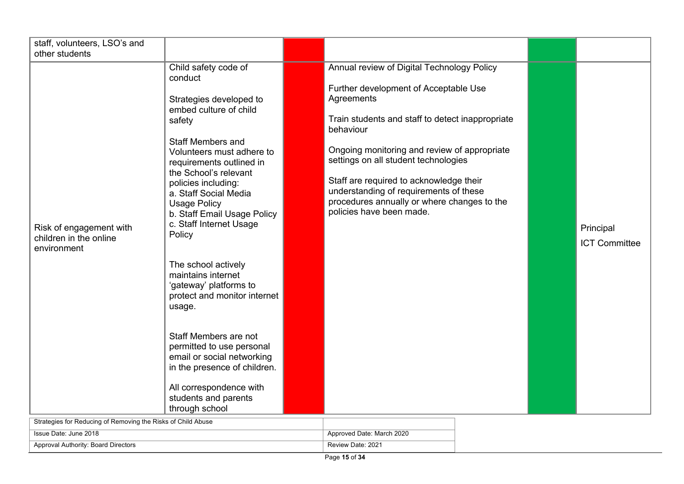| staff, volunteers, LSO's and                                                                                                     |                                                                                                                                                                                                                                                                                                                                                                                                                                                                                                                                                                                                                                                                   |                                                                                                                                                                                                                                                                                                                                                                                                                            |                                   |
|----------------------------------------------------------------------------------------------------------------------------------|-------------------------------------------------------------------------------------------------------------------------------------------------------------------------------------------------------------------------------------------------------------------------------------------------------------------------------------------------------------------------------------------------------------------------------------------------------------------------------------------------------------------------------------------------------------------------------------------------------------------------------------------------------------------|----------------------------------------------------------------------------------------------------------------------------------------------------------------------------------------------------------------------------------------------------------------------------------------------------------------------------------------------------------------------------------------------------------------------------|-----------------------------------|
| other students                                                                                                                   |                                                                                                                                                                                                                                                                                                                                                                                                                                                                                                                                                                                                                                                                   |                                                                                                                                                                                                                                                                                                                                                                                                                            |                                   |
| Risk of engagement with<br>children in the online<br>environment<br>Ctrotogies for Poducing of Pempuing the Pieke of Child Abuse | Child safety code of<br>conduct<br>Strategies developed to<br>embed culture of child<br>safety<br><b>Staff Members and</b><br>Volunteers must adhere to<br>requirements outlined in<br>the School's relevant<br>policies including:<br>a. Staff Social Media<br><b>Usage Policy</b><br>b. Staff Email Usage Policy<br>c. Staff Internet Usage<br>Policy<br>The school actively<br>maintains internet<br>'gateway' platforms to<br>protect and monitor internet<br>usage.<br>Staff Members are not<br>permitted to use personal<br>email or social networking<br>in the presence of children.<br>All correspondence with<br>students and parents<br>through school | Annual review of Digital Technology Policy<br>Further development of Acceptable Use<br>Agreements<br>Train students and staff to detect inappropriate<br>behaviour<br>Ongoing monitoring and review of appropriate<br>settings on all student technologies<br>Staff are required to acknowledge their<br>understanding of requirements of these<br>procedures annually or where changes to the<br>policies have been made. | Principal<br><b>ICT Committee</b> |

| Strategies for Reducing of Removing the Risks of Child Abuse |                           |
|--------------------------------------------------------------|---------------------------|
| Issue Date: June 2018                                        | Approved Date: March 2020 |
| Approval Authority: Board Directors                          | Review Date: 2021         |

 $\sim$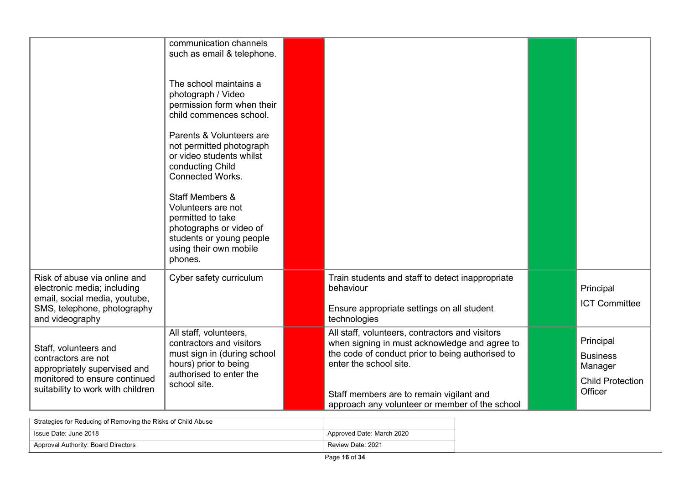|                                                                                                                                                    | communication channels<br>such as email & telephone.<br>The school maintains a<br>photograph / Video<br>permission form when their<br>child commences school.<br>Parents & Volunteers are<br>not permitted photograph<br>or video students whilst<br>conducting Child<br><b>Connected Works.</b><br><b>Staff Members &amp;</b><br>Volunteers are not<br>permitted to take<br>photographs or video of |                                                                                                                                                                                                                                                                              |                                                                               |
|----------------------------------------------------------------------------------------------------------------------------------------------------|------------------------------------------------------------------------------------------------------------------------------------------------------------------------------------------------------------------------------------------------------------------------------------------------------------------------------------------------------------------------------------------------------|------------------------------------------------------------------------------------------------------------------------------------------------------------------------------------------------------------------------------------------------------------------------------|-------------------------------------------------------------------------------|
|                                                                                                                                                    | students or young people<br>using their own mobile<br>phones.                                                                                                                                                                                                                                                                                                                                        |                                                                                                                                                                                                                                                                              |                                                                               |
| Risk of abuse via online and<br>electronic media; including<br>email, social media, youtube,<br>SMS, telephone, photography<br>and videography     | Cyber safety curriculum                                                                                                                                                                                                                                                                                                                                                                              | Train students and staff to detect inappropriate<br>behaviour<br>Ensure appropriate settings on all student<br>technologies                                                                                                                                                  | Principal<br><b>ICT Committee</b>                                             |
| Staff, volunteers and<br>contractors are not<br>appropriately supervised and<br>monitored to ensure continued<br>suitability to work with children | All staff, volunteers,<br>contractors and visitors<br>must sign in (during school<br>hours) prior to being<br>authorised to enter the<br>school site.                                                                                                                                                                                                                                                | All staff, volunteers, contractors and visitors<br>when signing in must acknowledge and agree to<br>the code of conduct prior to being authorised to<br>enter the school site.<br>Staff members are to remain vigilant and<br>approach any volunteer or member of the school | Principal<br><b>Business</b><br>Manager<br><b>Child Protection</b><br>Officer |

| Strategies for Reducing of Removing the Risks of Child Abuse |                           |
|--------------------------------------------------------------|---------------------------|
| Issue Date: June 2018                                        | Approved Date: March 2020 |
| Approval Authority: Board Directors                          | Review Date: 2021         |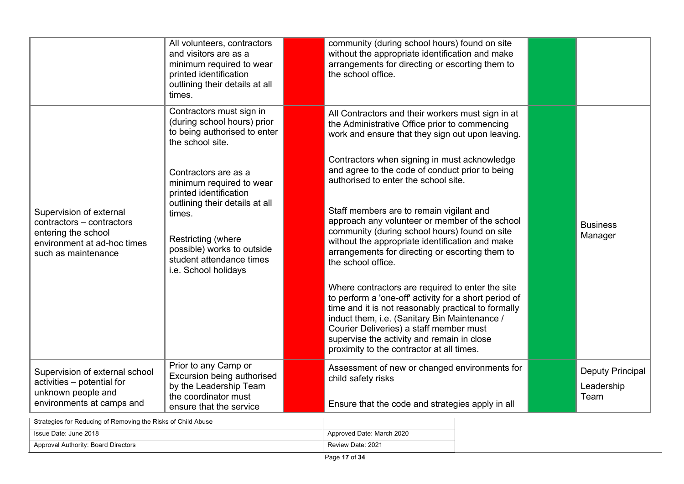|                                                                                                                                   | All volunteers, contractors<br>and visitors are as a<br>minimum required to wear<br>printed identification<br>outlining their details at all<br>times. | community (during school hours) found on site<br>without the appropriate identification and make<br>arrangements for directing or escorting them to<br>the school office.                                                                                                                                                                               |                                        |
|-----------------------------------------------------------------------------------------------------------------------------------|--------------------------------------------------------------------------------------------------------------------------------------------------------|---------------------------------------------------------------------------------------------------------------------------------------------------------------------------------------------------------------------------------------------------------------------------------------------------------------------------------------------------------|----------------------------------------|
|                                                                                                                                   | Contractors must sign in<br>(during school hours) prior<br>to being authorised to enter<br>the school site.                                            | All Contractors and their workers must sign in at<br>the Administrative Office prior to commencing<br>work and ensure that they sign out upon leaving.                                                                                                                                                                                                  |                                        |
|                                                                                                                                   | Contractors are as a<br>minimum required to wear<br>printed identification                                                                             | Contractors when signing in must acknowledge<br>and agree to the code of conduct prior to being<br>authorised to enter the school site.                                                                                                                                                                                                                 |                                        |
| Supervision of external<br>contractors - contractors<br>entering the school<br>environment at ad-hoc times<br>such as maintenance | outlining their details at all<br>times.<br>Restricting (where<br>possible) works to outside<br>student attendance times<br>i.e. School holidays       | Staff members are to remain vigilant and<br>approach any volunteer or member of the school<br>community (during school hours) found on site<br>without the appropriate identification and make<br>arrangements for directing or escorting them to<br>the school office.                                                                                 | <b>Business</b><br>Manager             |
|                                                                                                                                   |                                                                                                                                                        | Where contractors are required to enter the site<br>to perform a 'one-off' activity for a short period of<br>time and it is not reasonably practical to formally<br>induct them, i.e. (Sanitary Bin Maintenance /<br>Courier Deliveries) a staff member must<br>supervise the activity and remain in close<br>proximity to the contractor at all times. |                                        |
| Supervision of external school<br>activities - potential for<br>unknown people and                                                | Prior to any Camp or<br>Excursion being authorised<br>by the Leadership Team<br>the coordinator must                                                   | Assessment of new or changed environments for<br>child safety risks                                                                                                                                                                                                                                                                                     | Deputy Principal<br>Leadership<br>Team |
| environments at camps and<br>Strategies for Peducing of Removing the Risks of Child Abuse                                         | ensure that the service                                                                                                                                | Ensure that the code and strategies apply in all                                                                                                                                                                                                                                                                                                        |                                        |

| Strategies for Reducing of Removing the Risks of Child Abuse |                           |
|--------------------------------------------------------------|---------------------------|
| ່ Issue Date: June 2018                                      | Approved Date: March 2020 |
| Approval Authority: Board Directors                          | Review Date: 2021         |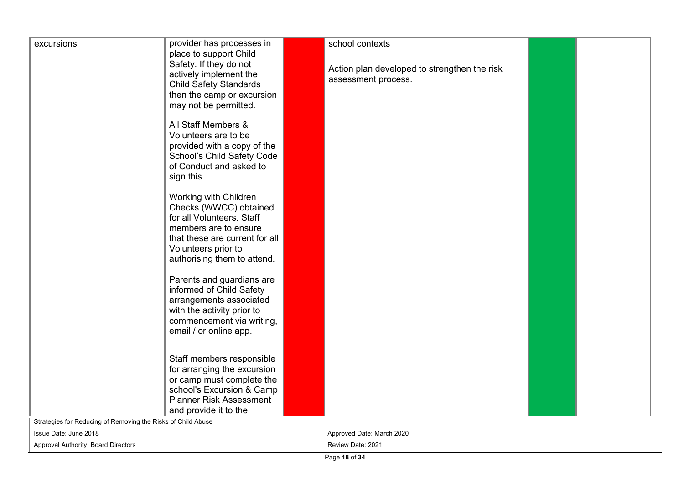| excursions                                                   | provider has processes in      | school contexts                              |  |  |
|--------------------------------------------------------------|--------------------------------|----------------------------------------------|--|--|
|                                                              | place to support Child         |                                              |  |  |
|                                                              | Safety. If they do not         |                                              |  |  |
|                                                              | actively implement the         | Action plan developed to strengthen the risk |  |  |
|                                                              | <b>Child Safety Standards</b>  | assessment process.                          |  |  |
|                                                              | then the camp or excursion     |                                              |  |  |
|                                                              |                                |                                              |  |  |
|                                                              | may not be permitted.          |                                              |  |  |
|                                                              | All Staff Members &            |                                              |  |  |
|                                                              | Volunteers are to be           |                                              |  |  |
|                                                              | provided with a copy of the    |                                              |  |  |
|                                                              | School's Child Safety Code     |                                              |  |  |
|                                                              | of Conduct and asked to        |                                              |  |  |
|                                                              | sign this.                     |                                              |  |  |
|                                                              |                                |                                              |  |  |
|                                                              | Working with Children          |                                              |  |  |
|                                                              | Checks (WWCC) obtained         |                                              |  |  |
|                                                              | for all Volunteers. Staff      |                                              |  |  |
|                                                              | members are to ensure          |                                              |  |  |
|                                                              | that these are current for all |                                              |  |  |
|                                                              | Volunteers prior to            |                                              |  |  |
|                                                              | authorising them to attend.    |                                              |  |  |
|                                                              |                                |                                              |  |  |
|                                                              | Parents and guardians are      |                                              |  |  |
|                                                              | informed of Child Safety       |                                              |  |  |
|                                                              | arrangements associated        |                                              |  |  |
|                                                              | with the activity prior to     |                                              |  |  |
|                                                              | commencement via writing,      |                                              |  |  |
|                                                              | email / or online app.         |                                              |  |  |
|                                                              |                                |                                              |  |  |
|                                                              | Staff members responsible      |                                              |  |  |
|                                                              | for arranging the excursion    |                                              |  |  |
|                                                              | or camp must complete the      |                                              |  |  |
|                                                              | school's Excursion & Camp      |                                              |  |  |
|                                                              | <b>Planner Risk Assessment</b> |                                              |  |  |
|                                                              | and provide it to the          |                                              |  |  |
| Strategies for Reducing of Removing the Risks of Child Abuse |                                |                                              |  |  |
| Issue Date: June 2018                                        |                                | Approved Date: March 2020                    |  |  |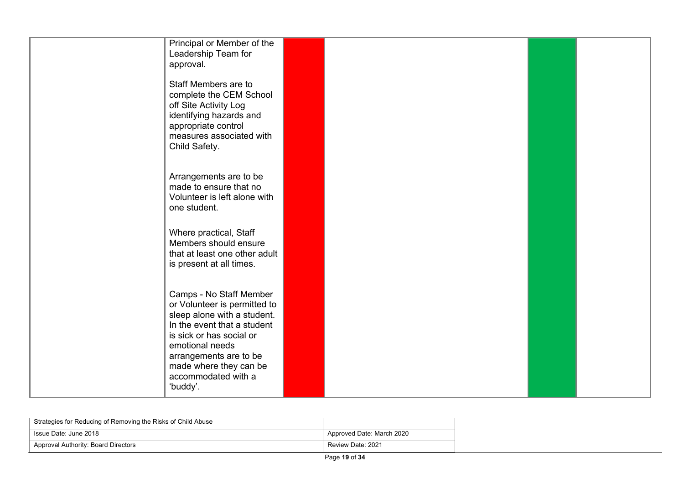| Principal or Member of the<br>Leadership Team for<br>approval.                                                                                                                                                                                              |  |  |
|-------------------------------------------------------------------------------------------------------------------------------------------------------------------------------------------------------------------------------------------------------------|--|--|
| Staff Members are to<br>complete the CEM School<br>off Site Activity Log<br>identifying hazards and<br>appropriate control<br>measures associated with<br>Child Safety.                                                                                     |  |  |
| Arrangements are to be<br>made to ensure that no<br>Volunteer is left alone with<br>one student.                                                                                                                                                            |  |  |
| Where practical, Staff<br>Members should ensure<br>that at least one other adult<br>is present at all times.                                                                                                                                                |  |  |
| Camps - No Staff Member<br>or Volunteer is permitted to<br>sleep alone with a student.<br>In the event that a student<br>is sick or has social or<br>emotional needs<br>arrangements are to be<br>made where they can be<br>accommodated with a<br>'buddy'. |  |  |

| Strategies for Reducing of Removing the Risks of Child Abuse |                           |
|--------------------------------------------------------------|---------------------------|
| Issue Date: June 2018                                        | Approved Date: March 2020 |
| Approval Authority: Board Directors                          | Review Date: 2021         |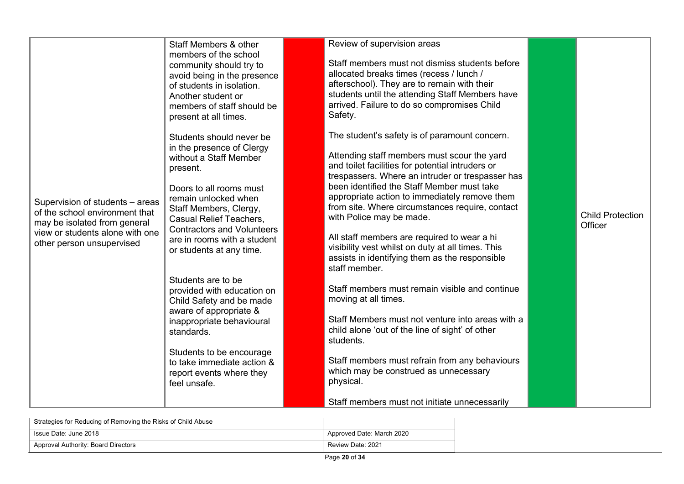| Supervision of students - areas<br>of the school environment that<br>may be isolated from general<br>view or students alone with one<br>other person unsupervised | Staff Members & other<br>members of the school<br>community should try to<br>avoid being in the presence<br>of students in isolation.<br>Another student or<br>members of staff should be<br>present at all times.<br>Students should never be<br>in the presence of Clergy<br>without a Staff Member<br>present.<br>Doors to all rooms must<br>remain unlocked when<br>Staff Members, Clergy,<br><b>Casual Relief Teachers,</b><br><b>Contractors and Volunteers</b><br>are in rooms with a student<br>or students at any time.<br>Students are to be<br>provided with education on<br>Child Safety and be made<br>aware of appropriate &<br>inappropriate behavioural<br>standards.<br>Students to be encourage<br>to take immediate action &<br>report events where they<br>feel unsafe. | Review of supervision areas<br>Staff members must not dismiss students before<br>allocated breaks times (recess / lunch /<br>afterschool). They are to remain with their<br>students until the attending Staff Members have<br>arrived. Failure to do so compromises Child<br>Safety.<br>The student's safety is of paramount concern.<br>Attending staff members must scour the yard<br>and toilet facilities for potential intruders or<br>trespassers. Where an intruder or trespasser has<br>been identified the Staff Member must take<br>appropriate action to immediately remove them<br>from site. Where circumstances require, contact<br>with Police may be made.<br>All staff members are required to wear a hi<br>visibility vest whilst on duty at all times. This<br>assists in identifying them as the responsible<br>staff member.<br>Staff members must remain visible and continue<br>moving at all times.<br>Staff Members must not venture into areas with a<br>child alone 'out of the line of sight' of other<br>students.<br>Staff members must refrain from any behaviours<br>which may be construed as unnecessary<br>physical. | <b>Child Protection</b><br>Officer |
|-------------------------------------------------------------------------------------------------------------------------------------------------------------------|---------------------------------------------------------------------------------------------------------------------------------------------------------------------------------------------------------------------------------------------------------------------------------------------------------------------------------------------------------------------------------------------------------------------------------------------------------------------------------------------------------------------------------------------------------------------------------------------------------------------------------------------------------------------------------------------------------------------------------------------------------------------------------------------|----------------------------------------------------------------------------------------------------------------------------------------------------------------------------------------------------------------------------------------------------------------------------------------------------------------------------------------------------------------------------------------------------------------------------------------------------------------------------------------------------------------------------------------------------------------------------------------------------------------------------------------------------------------------------------------------------------------------------------------------------------------------------------------------------------------------------------------------------------------------------------------------------------------------------------------------------------------------------------------------------------------------------------------------------------------------------------------------------------------------------------------------------------|------------------------------------|
|                                                                                                                                                                   |                                                                                                                                                                                                                                                                                                                                                                                                                                                                                                                                                                                                                                                                                                                                                                                             | Staff members must not initiate unnecessarily                                                                                                                                                                                                                                                                                                                                                                                                                                                                                                                                                                                                                                                                                                                                                                                                                                                                                                                                                                                                                                                                                                            |                                    |

| Strategies for Reducing of Removing the Risks of Child Abuse |                           |
|--------------------------------------------------------------|---------------------------|
| Sissue Date: June 2018                                       | Approved Date: March 2020 |
| Approval Authority: Board Directors                          | Review Date: 2021         |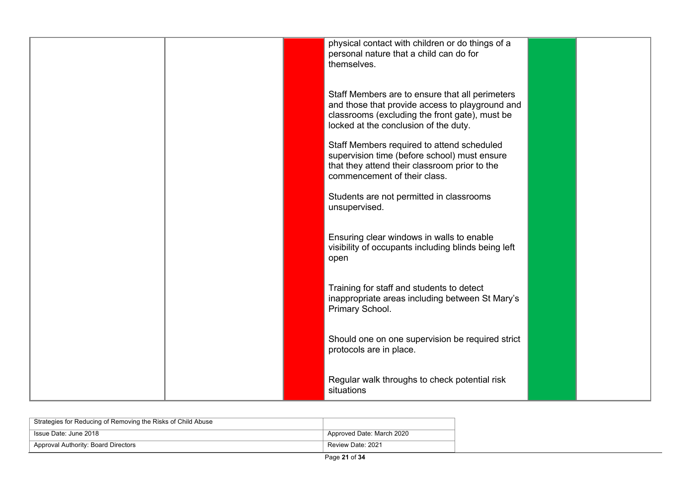|  | physical contact with children or do things of a<br>personal nature that a child can do for<br>themselves.                                                                                    |  |
|--|-----------------------------------------------------------------------------------------------------------------------------------------------------------------------------------------------|--|
|  | Staff Members are to ensure that all perimeters<br>and those that provide access to playground and<br>classrooms (excluding the front gate), must be<br>locked at the conclusion of the duty. |  |
|  | Staff Members required to attend scheduled<br>supervision time (before school) must ensure<br>that they attend their classroom prior to the<br>commencement of their class.                   |  |
|  | Students are not permitted in classrooms<br>unsupervised.                                                                                                                                     |  |
|  | Ensuring clear windows in walls to enable<br>visibility of occupants including blinds being left<br>open                                                                                      |  |
|  | Training for staff and students to detect<br>inappropriate areas including between St Mary's<br>Primary School.                                                                               |  |
|  | Should one on one supervision be required strict<br>protocols are in place.                                                                                                                   |  |
|  | Regular walk throughs to check potential risk<br>situations                                                                                                                                   |  |

| Strategies for Reducing of Removing the Risks of Child Abuse |                           |
|--------------------------------------------------------------|---------------------------|
| Issue Date: June 2018                                        | Approved Date: March 2020 |
| Approval Authority: Board Directors                          | Review Date: 2021         |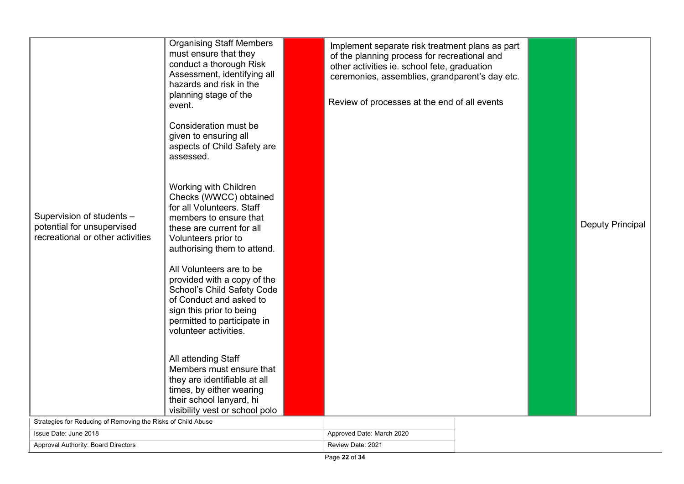| Supervision of students -<br>potential for unsupervised<br>recreational or other activities | conduct a thorough Risk<br>Assessment, identifying all<br>hazards and risk in the<br>planning stage of the<br>event.<br>Consideration must be<br>given to ensuring all<br>aspects of Child Safety are<br>assessed.<br>Working with Children<br>Checks (WWCC) obtained<br>for all Volunteers. Staff<br>members to ensure that<br>these are current for all<br>Volunteers prior to<br>authorising them to attend.<br>All Volunteers are to be<br>provided with a copy of the<br>School's Child Safety Code<br>of Conduct and asked to<br>sign this prior to being<br>permitted to participate in<br>volunteer activities.<br>All attending Staff<br>Members must ensure that<br>they are identifiable at all<br>times, by either wearing<br>their school lanyard, hi<br>visibility vest or school polo | of the planning process for recreational and<br>other activities ie. school fete, graduation<br>ceremonies, assemblies, grandparent's day etc.<br>Review of processes at the end of all events |  | Deputy Principal |
|---------------------------------------------------------------------------------------------|------------------------------------------------------------------------------------------------------------------------------------------------------------------------------------------------------------------------------------------------------------------------------------------------------------------------------------------------------------------------------------------------------------------------------------------------------------------------------------------------------------------------------------------------------------------------------------------------------------------------------------------------------------------------------------------------------------------------------------------------------------------------------------------------------|------------------------------------------------------------------------------------------------------------------------------------------------------------------------------------------------|--|------------------|
| Strategies for Reducing of Removing the Risks of Child Abuse                                |                                                                                                                                                                                                                                                                                                                                                                                                                                                                                                                                                                                                                                                                                                                                                                                                      |                                                                                                                                                                                                |  |                  |
| Issue Date: June 2018<br>Approval Authority: Board Directors                                |                                                                                                                                                                                                                                                                                                                                                                                                                                                                                                                                                                                                                                                                                                                                                                                                      | Approved Date: March 2020<br>Review Date: 2021                                                                                                                                                 |  |                  |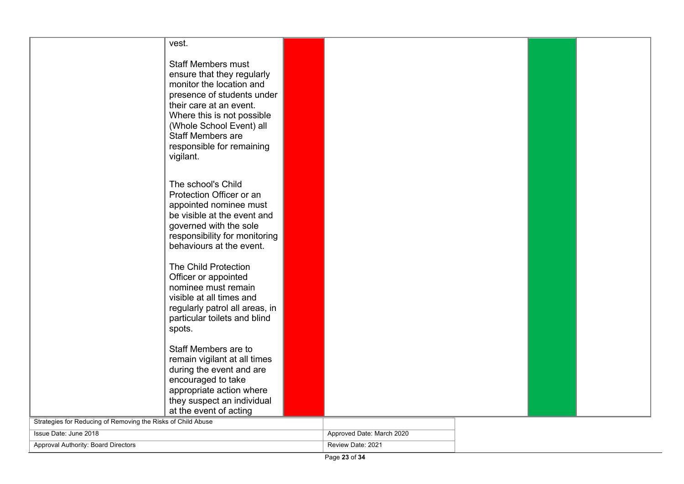|                                                              | vest.                                                          |                           |  |  |
|--------------------------------------------------------------|----------------------------------------------------------------|---------------------------|--|--|
|                                                              | <b>Staff Members must</b>                                      |                           |  |  |
|                                                              | ensure that they regularly                                     |                           |  |  |
|                                                              | monitor the location and                                       |                           |  |  |
|                                                              | presence of students under                                     |                           |  |  |
|                                                              | their care at an event.                                        |                           |  |  |
|                                                              | Where this is not possible<br>(Whole School Event) all         |                           |  |  |
|                                                              | <b>Staff Members are</b>                                       |                           |  |  |
|                                                              | responsible for remaining                                      |                           |  |  |
|                                                              | vigilant.                                                      |                           |  |  |
|                                                              |                                                                |                           |  |  |
|                                                              | The school's Child                                             |                           |  |  |
|                                                              | Protection Officer or an                                       |                           |  |  |
|                                                              | appointed nominee must                                         |                           |  |  |
|                                                              | be visible at the event and                                    |                           |  |  |
|                                                              | governed with the sole                                         |                           |  |  |
|                                                              | responsibility for monitoring<br>behaviours at the event.      |                           |  |  |
|                                                              |                                                                |                           |  |  |
|                                                              | The Child Protection                                           |                           |  |  |
|                                                              | Officer or appointed                                           |                           |  |  |
|                                                              | nominee must remain                                            |                           |  |  |
|                                                              | visible at all times and                                       |                           |  |  |
|                                                              | regularly patrol all areas, in<br>particular toilets and blind |                           |  |  |
|                                                              | spots.                                                         |                           |  |  |
|                                                              |                                                                |                           |  |  |
|                                                              | Staff Members are to                                           |                           |  |  |
|                                                              | remain vigilant at all times                                   |                           |  |  |
|                                                              | during the event and are<br>encouraged to take                 |                           |  |  |
|                                                              | appropriate action where                                       |                           |  |  |
|                                                              | they suspect an individual                                     |                           |  |  |
|                                                              | at the event of acting                                         |                           |  |  |
| Strategies for Reducing of Removing the Risks of Child Abuse |                                                                |                           |  |  |
| Issue Date: June 2018                                        |                                                                | Approved Date: March 2020 |  |  |
| Approval Authority: Board Directors                          |                                                                | Review Date: 2021         |  |  |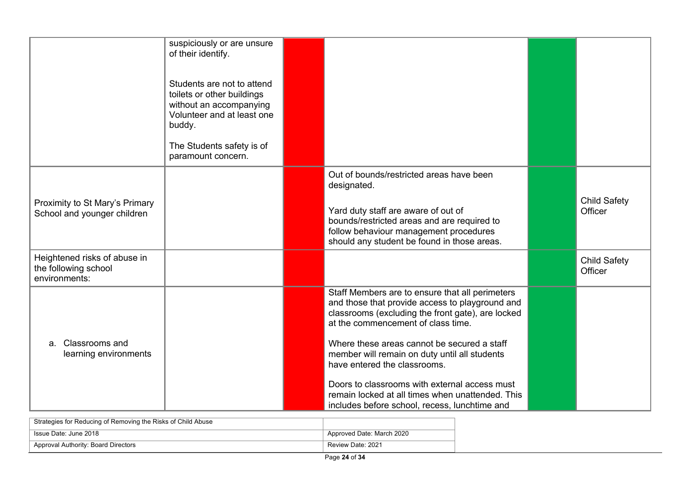|                                                                       | suspiciously or are unsure<br>of their identify.                                                                            |                                                                                                                                                                                               |                                |
|-----------------------------------------------------------------------|-----------------------------------------------------------------------------------------------------------------------------|-----------------------------------------------------------------------------------------------------------------------------------------------------------------------------------------------|--------------------------------|
|                                                                       | Students are not to attend<br>toilets or other buildings<br>without an accompanying<br>Volunteer and at least one<br>buddy. |                                                                                                                                                                                               |                                |
|                                                                       | The Students safety is of<br>paramount concern.                                                                             |                                                                                                                                                                                               |                                |
|                                                                       |                                                                                                                             | Out of bounds/restricted areas have been<br>designated.                                                                                                                                       |                                |
| Proximity to St Mary's Primary<br>School and younger children         |                                                                                                                             | Yard duty staff are aware of out of<br>bounds/restricted areas and are required to<br>follow behaviour management procedures<br>should any student be found in those areas.                   | <b>Child Safety</b><br>Officer |
| Heightened risks of abuse in<br>the following school<br>environments: |                                                                                                                             |                                                                                                                                                                                               | <b>Child Safety</b><br>Officer |
|                                                                       |                                                                                                                             | Staff Members are to ensure that all perimeters<br>and those that provide access to playground and<br>classrooms (excluding the front gate), are locked<br>at the commencement of class time. |                                |
| a. Classrooms and<br>learning environments                            |                                                                                                                             | Where these areas cannot be secured a staff<br>member will remain on duty until all students<br>have entered the classrooms.                                                                  |                                |
|                                                                       |                                                                                                                             | Doors to classrooms with external access must<br>remain locked at all times when unattended. This<br>includes before school, recess, lunchtime and                                            |                                |

| Strategies for Reducing of Removing the Risks of Child Abuse |                           |
|--------------------------------------------------------------|---------------------------|
| Sue Date: June 2018                                          | Approved Date: March 2020 |
| Approval Authority: Board Directors                          | Review Date: 2021         |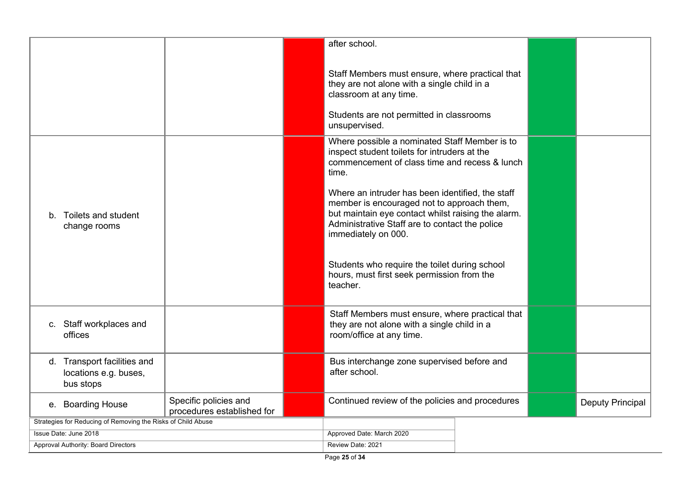|                                                              |                                                                   |                                                     |  | after school.                                                                                                                                                                                                                 |  |                  |  |
|--------------------------------------------------------------|-------------------------------------------------------------------|-----------------------------------------------------|--|-------------------------------------------------------------------------------------------------------------------------------------------------------------------------------------------------------------------------------|--|------------------|--|
|                                                              |                                                                   |                                                     |  | Staff Members must ensure, where practical that<br>they are not alone with a single child in a<br>classroom at any time.<br>Students are not permitted in classrooms<br>unsupervised.                                         |  |                  |  |
|                                                              |                                                                   |                                                     |  | Where possible a nominated Staff Member is to<br>inspect student toilets for intruders at the<br>commencement of class time and recess & lunch<br>time.                                                                       |  |                  |  |
|                                                              | b. Toilets and student<br>change rooms                            |                                                     |  | Where an intruder has been identified, the staff<br>member is encouraged not to approach them,<br>but maintain eye contact whilst raising the alarm.<br>Administrative Staff are to contact the police<br>immediately on 000. |  |                  |  |
|                                                              |                                                                   |                                                     |  | Students who require the toilet during school<br>hours, must first seek permission from the<br>teacher.                                                                                                                       |  |                  |  |
|                                                              | c. Staff workplaces and<br>offices                                |                                                     |  | Staff Members must ensure, where practical that<br>they are not alone with a single child in a<br>room/office at any time.                                                                                                    |  |                  |  |
|                                                              | d. Transport facilities and<br>locations e.g. buses,<br>bus stops |                                                     |  | Bus interchange zone supervised before and<br>after school.                                                                                                                                                                   |  |                  |  |
|                                                              | e. Boarding House                                                 | Specific policies and<br>procedures established for |  | Continued review of the policies and procedures                                                                                                                                                                               |  | Deputy Principal |  |
| Strategies for Reducing of Removing the Risks of Child Abuse |                                                                   |                                                     |  |                                                                                                                                                                                                                               |  |                  |  |
|                                                              | Issue Date: June 2018                                             |                                                     |  | Approved Date: March 2020                                                                                                                                                                                                     |  |                  |  |
|                                                              | Approval Authority: Board Directors                               |                                                     |  | Review Date: 2021                                                                                                                                                                                                             |  |                  |  |

 $\overline{\phantom{a}}$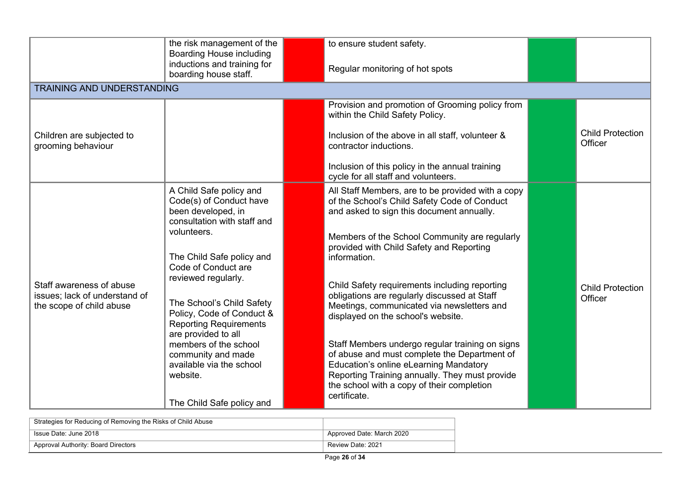|                                                                                       | the risk management of the<br><b>Boarding House including</b>                                                                                                                                                                                                                                                                                                      | to ensure student safety.                                                                                                                                                                                                                                                                                                                                                                                                                                                                                                                           |                                    |
|---------------------------------------------------------------------------------------|--------------------------------------------------------------------------------------------------------------------------------------------------------------------------------------------------------------------------------------------------------------------------------------------------------------------------------------------------------------------|-----------------------------------------------------------------------------------------------------------------------------------------------------------------------------------------------------------------------------------------------------------------------------------------------------------------------------------------------------------------------------------------------------------------------------------------------------------------------------------------------------------------------------------------------------|------------------------------------|
|                                                                                       | inductions and training for<br>boarding house staff.                                                                                                                                                                                                                                                                                                               | Regular monitoring of hot spots                                                                                                                                                                                                                                                                                                                                                                                                                                                                                                                     |                                    |
| <b>TRAINING AND UNDERSTANDING</b>                                                     |                                                                                                                                                                                                                                                                                                                                                                    |                                                                                                                                                                                                                                                                                                                                                                                                                                                                                                                                                     |                                    |
|                                                                                       |                                                                                                                                                                                                                                                                                                                                                                    | Provision and promotion of Grooming policy from<br>within the Child Safety Policy.                                                                                                                                                                                                                                                                                                                                                                                                                                                                  |                                    |
| Children are subjected to<br>grooming behaviour                                       |                                                                                                                                                                                                                                                                                                                                                                    | Inclusion of the above in all staff, volunteer &<br>contractor inductions.                                                                                                                                                                                                                                                                                                                                                                                                                                                                          | <b>Child Protection</b><br>Officer |
|                                                                                       |                                                                                                                                                                                                                                                                                                                                                                    | Inclusion of this policy in the annual training<br>cycle for all staff and volunteers.                                                                                                                                                                                                                                                                                                                                                                                                                                                              |                                    |
| Staff awareness of abuse<br>issues; lack of understand of<br>the scope of child abuse | A Child Safe policy and<br>Code(s) of Conduct have<br>been developed, in<br>consultation with staff and<br>volunteers.<br>The Child Safe policy and<br>Code of Conduct are<br>reviewed regularly.<br>The School's Child Safety<br>Policy, Code of Conduct &<br><b>Reporting Requirements</b><br>are provided to all<br>members of the school<br>community and made | All Staff Members, are to be provided with a copy<br>of the School's Child Safety Code of Conduct<br>and asked to sign this document annually.<br>Members of the School Community are regularly<br>provided with Child Safety and Reporting<br>information.<br>Child Safety requirements including reporting<br>obligations are regularly discussed at Staff<br>Meetings, communicated via newsletters and<br>displayed on the school's website.<br>Staff Members undergo regular training on signs<br>of abuse and must complete the Department of | <b>Child Protection</b><br>Officer |
|                                                                                       | available via the school<br>website.<br>The Child Safe policy and                                                                                                                                                                                                                                                                                                  | Education's online eLearning Mandatory<br>Reporting Training annually. They must provide<br>the school with a copy of their completion<br>certificate.                                                                                                                                                                                                                                                                                                                                                                                              |                                    |

| Strategies for Reducing of Removing the Risks of Child Abuse |                           |
|--------------------------------------------------------------|---------------------------|
| ิ Issue Date: June 2018                                      | Approved Date: March 2020 |
| Approval Authority: Board Directors                          | Review Date: 2021         |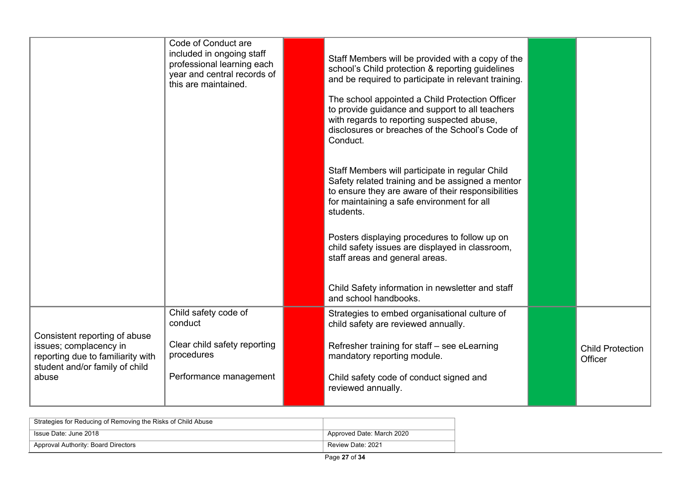|                                                                                                                                | Code of Conduct are<br>included in ongoing staff<br>professional learning each<br>year and central records of<br>this are maintained. | Staff Members will be provided with a copy of the<br>school's Child protection & reporting guidelines<br>and be required to participate in relevant training.                                                        |                                    |
|--------------------------------------------------------------------------------------------------------------------------------|---------------------------------------------------------------------------------------------------------------------------------------|----------------------------------------------------------------------------------------------------------------------------------------------------------------------------------------------------------------------|------------------------------------|
|                                                                                                                                |                                                                                                                                       | The school appointed a Child Protection Officer<br>to provide guidance and support to all teachers<br>with regards to reporting suspected abuse,<br>disclosures or breaches of the School's Code of<br>Conduct.      |                                    |
|                                                                                                                                |                                                                                                                                       | Staff Members will participate in regular Child<br>Safety related training and be assigned a mentor<br>to ensure they are aware of their responsibilities<br>for maintaining a safe environment for all<br>students. |                                    |
|                                                                                                                                |                                                                                                                                       | Posters displaying procedures to follow up on<br>child safety issues are displayed in classroom,<br>staff areas and general areas.                                                                                   |                                    |
|                                                                                                                                |                                                                                                                                       | Child Safety information in newsletter and staff<br>and school handbooks.                                                                                                                                            |                                    |
|                                                                                                                                | Child safety code of<br>conduct                                                                                                       | Strategies to embed organisational culture of<br>child safety are reviewed annually.                                                                                                                                 |                                    |
| Consistent reporting of abuse<br>issues; complacency in<br>reporting due to familiarity with<br>student and/or family of child | Clear child safety reporting<br>procedures                                                                                            | Refresher training for staff - see eLearning<br>mandatory reporting module.                                                                                                                                          | <b>Child Protection</b><br>Officer |
| abuse                                                                                                                          | Performance management                                                                                                                | Child safety code of conduct signed and<br>reviewed annually.                                                                                                                                                        |                                    |

| Strategies for Reducing of Removing the Risks of Child Abuse |                           |
|--------------------------------------------------------------|---------------------------|
| Issue Date: June 2018                                        | Approved Date: March 2020 |
| Approval Authority: Board Directors                          | Review Date: 2021         |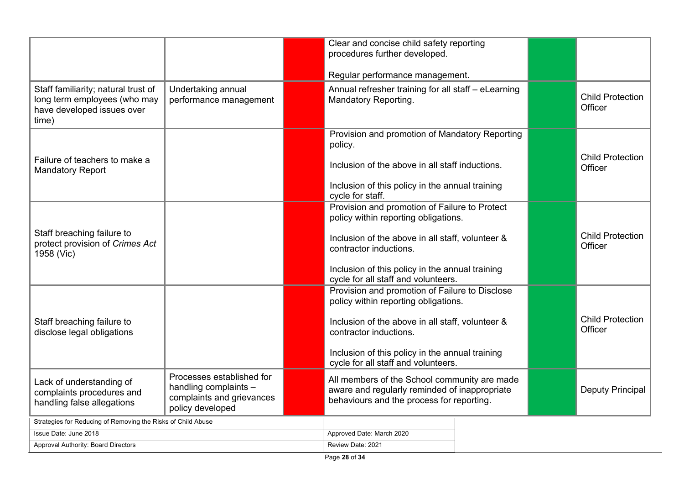|                                                                                                            |                                                                                                     |                   | Clear and concise child safety reporting<br>procedures further developed.                                                                                                                                                                                      |  |                  |                                    |
|------------------------------------------------------------------------------------------------------------|-----------------------------------------------------------------------------------------------------|-------------------|----------------------------------------------------------------------------------------------------------------------------------------------------------------------------------------------------------------------------------------------------------------|--|------------------|------------------------------------|
|                                                                                                            |                                                                                                     |                   | Regular performance management.                                                                                                                                                                                                                                |  |                  |                                    |
| Staff familiarity; natural trust of<br>long term employees (who may<br>have developed issues over<br>time) | Undertaking annual<br>performance management                                                        |                   | Annual refresher training for all staff - eLearning<br>Mandatory Reporting.                                                                                                                                                                                    |  |                  | <b>Child Protection</b><br>Officer |
| Failure of teachers to make a<br><b>Mandatory Report</b>                                                   |                                                                                                     |                   | Provision and promotion of Mandatory Reporting<br>policy.<br>Inclusion of the above in all staff inductions.<br>Inclusion of this policy in the annual training<br>cycle for staff.                                                                            |  |                  | <b>Child Protection</b><br>Officer |
|                                                                                                            |                                                                                                     |                   | Provision and promotion of Failure to Protect                                                                                                                                                                                                                  |  |                  |                                    |
| Staff breaching failure to<br>protect provision of Crimes Act<br>1958 (Vic)                                |                                                                                                     |                   | policy within reporting obligations.<br>Inclusion of the above in all staff, volunteer &<br>contractor inductions.<br>Inclusion of this policy in the annual training<br>cycle for all staff and volunteers.                                                   |  |                  | <b>Child Protection</b><br>Officer |
| Staff breaching failure to<br>disclose legal obligations                                                   |                                                                                                     |                   | Provision and promotion of Failure to Disclose<br>policy within reporting obligations.<br>Inclusion of the above in all staff, volunteer &<br>contractor inductions.<br>Inclusion of this policy in the annual training<br>cycle for all staff and volunteers. |  |                  | <b>Child Protection</b><br>Officer |
| Lack of understanding of<br>complaints procedures and<br>handling false allegations                        | Processes established for<br>handling complaints -<br>complaints and grievances<br>policy developed |                   | All members of the School community are made<br>aware and regularly reminded of inappropriate<br>behaviours and the process for reporting.                                                                                                                     |  | Deputy Principal |                                    |
| Strategies for Reducing of Removing the Risks of Child Abuse                                               |                                                                                                     |                   |                                                                                                                                                                                                                                                                |  |                  |                                    |
| Issue Date: June 2018                                                                                      |                                                                                                     |                   | Approved Date: March 2020                                                                                                                                                                                                                                      |  |                  |                                    |
| Approval Authority: Board Directors                                                                        |                                                                                                     | Review Date: 2021 |                                                                                                                                                                                                                                                                |  |                  |                                    |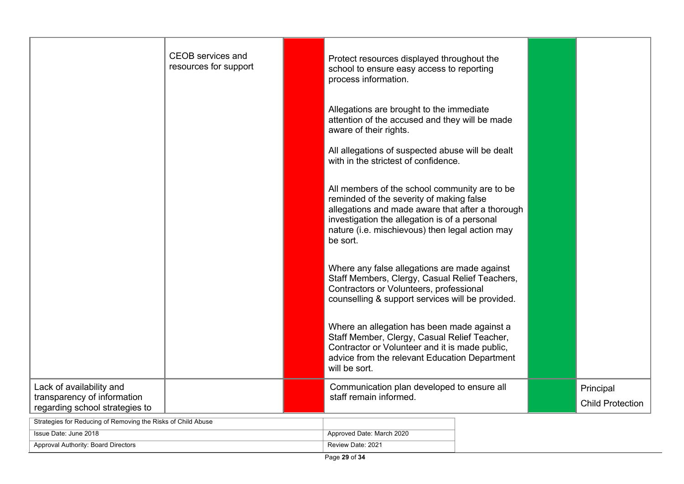|                                                                                           | <b>CEOB</b> services and<br>resources for support | Protect resources displayed throughout the<br>school to ensure easy access to reporting<br>process information.                                                                                                                                               |  |                                      |
|-------------------------------------------------------------------------------------------|---------------------------------------------------|---------------------------------------------------------------------------------------------------------------------------------------------------------------------------------------------------------------------------------------------------------------|--|--------------------------------------|
|                                                                                           |                                                   | Allegations are brought to the immediate<br>attention of the accused and they will be made<br>aware of their rights.                                                                                                                                          |  |                                      |
|                                                                                           |                                                   | All allegations of suspected abuse will be dealt<br>with in the strictest of confidence.                                                                                                                                                                      |  |                                      |
|                                                                                           |                                                   | All members of the school community are to be<br>reminded of the severity of making false<br>allegations and made aware that after a thorough<br>investigation the allegation is of a personal<br>nature (i.e. mischievous) then legal action may<br>be sort. |  |                                      |
|                                                                                           |                                                   | Where any false allegations are made against<br>Staff Members, Clergy, Casual Relief Teachers,<br>Contractors or Volunteers, professional<br>counselling & support services will be provided.                                                                 |  |                                      |
|                                                                                           |                                                   | Where an allegation has been made against a<br>Staff Member, Clergy, Casual Relief Teacher,<br>Contractor or Volunteer and it is made public,<br>advice from the relevant Education Department<br>will be sort.                                               |  |                                      |
| Lack of availability and<br>transparency of information<br>regarding school strategies to |                                                   | Communication plan developed to ensure all<br>staff remain informed.                                                                                                                                                                                          |  | Principal<br><b>Child Protection</b> |
| Strategies for Reducing of Removing the Risks of Child Abuse                              |                                                   |                                                                                                                                                                                                                                                               |  |                                      |
| Issue Date: June 2018                                                                     |                                                   | Approved Date: March 2020                                                                                                                                                                                                                                     |  |                                      |

Approval Authority: Board Directors **Review Date: 2021** Review Date: 2021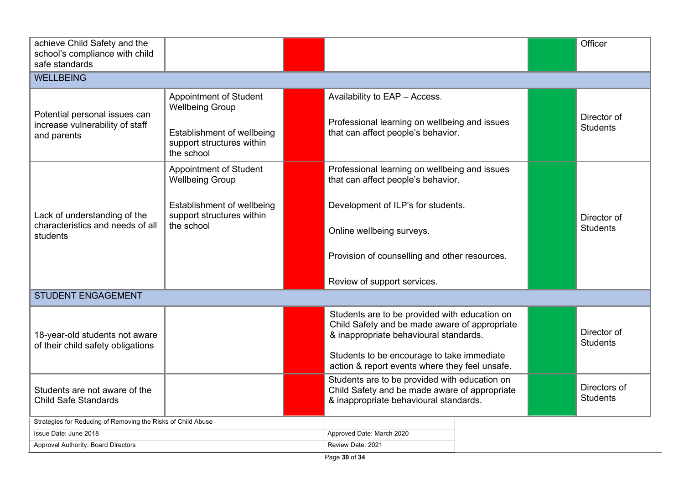| achieve Child Safety and the<br>school's compliance with child<br>safe standards |                                                                                                                                  |  |                                                                                                                                                                                                                                          |  |                                 | Officer                        |
|----------------------------------------------------------------------------------|----------------------------------------------------------------------------------------------------------------------------------|--|------------------------------------------------------------------------------------------------------------------------------------------------------------------------------------------------------------------------------------------|--|---------------------------------|--------------------------------|
| <b>WELLBEING</b>                                                                 |                                                                                                                                  |  |                                                                                                                                                                                                                                          |  |                                 |                                |
| Potential personal issues can<br>increase vulnerability of staff<br>and parents  | <b>Appointment of Student</b><br><b>Wellbeing Group</b><br>Establishment of wellbeing<br>support structures within<br>the school |  | Availability to EAP - Access.<br>Professional learning on wellbeing and issues<br>that can affect people's behavior.                                                                                                                     |  |                                 | Director of<br><b>Students</b> |
| Lack of understanding of the<br>characteristics and needs of all<br>students     | <b>Appointment of Student</b><br><b>Wellbeing Group</b><br>Establishment of wellbeing<br>support structures within<br>the school |  | Professional learning on wellbeing and issues<br>that can affect people's behavior.<br>Development of ILP's for students.<br>Online wellbeing surveys.<br>Provision of counselling and other resources.<br>Review of support services.   |  |                                 | Director of<br><b>Students</b> |
| <b>STUDENT ENGAGEMENT</b>                                                        |                                                                                                                                  |  |                                                                                                                                                                                                                                          |  |                                 |                                |
| 18-year-old students not aware<br>of their child safety obligations              |                                                                                                                                  |  | Students are to be provided with education on<br>Child Safety and be made aware of appropriate<br>& inappropriate behavioural standards.<br>Students to be encourage to take immediate<br>action & report events where they feel unsafe. |  |                                 | Director of<br><b>Students</b> |
| Students are not aware of the<br><b>Child Safe Standards</b>                     |                                                                                                                                  |  | Students are to be provided with education on<br>Child Safety and be made aware of appropriate<br>& inappropriate behavioural standards.                                                                                                 |  | Directors of<br><b>Students</b> |                                |
| Strategies for Reducing of Removing the Risks of Child Abuse                     |                                                                                                                                  |  |                                                                                                                                                                                                                                          |  |                                 |                                |
| Issue Date: June 2018<br>Approval Authority: Board Directors                     |                                                                                                                                  |  | Approved Date: March 2020<br>Review Date: 2021                                                                                                                                                                                           |  |                                 |                                |

 $\overline{\phantom{a}}$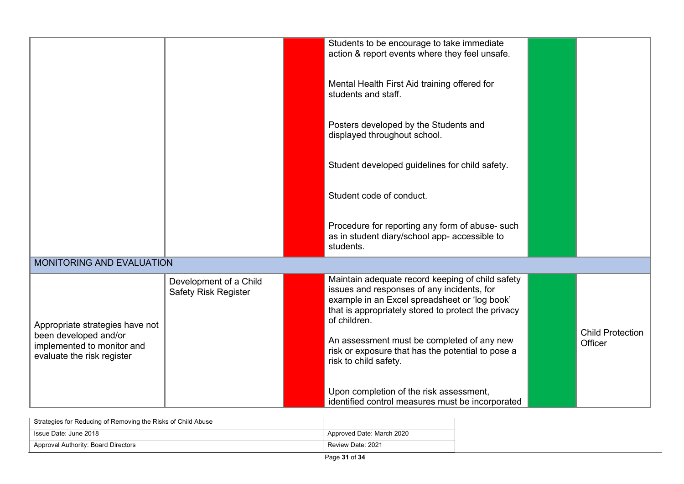|                                                                                                                      |                                                       |  | Students to be encourage to take immediate<br>action & report events where they feel unsafe.<br>Mental Health First Aid training offered for<br>students and staff.<br>Posters developed by the Students and<br>displayed throughout school.<br>Student developed guidelines for child safety.<br>Student code of conduct.<br>Procedure for reporting any form of abuse- such |  |                                    |
|----------------------------------------------------------------------------------------------------------------------|-------------------------------------------------------|--|-------------------------------------------------------------------------------------------------------------------------------------------------------------------------------------------------------------------------------------------------------------------------------------------------------------------------------------------------------------------------------|--|------------------------------------|
|                                                                                                                      |                                                       |  | as in student diary/school app- accessible to<br>students.                                                                                                                                                                                                                                                                                                                    |  |                                    |
| MONITORING AND EVALUATION                                                                                            |                                                       |  |                                                                                                                                                                                                                                                                                                                                                                               |  |                                    |
| Appropriate strategies have not<br>been developed and/or<br>implemented to monitor and<br>evaluate the risk register | Development of a Child<br><b>Safety Risk Register</b> |  | Maintain adequate record keeping of child safety<br>issues and responses of any incidents, for<br>example in an Excel spreadsheet or 'log book'<br>that is appropriately stored to protect the privacy<br>of children.<br>An assessment must be completed of any new<br>risk or exposure that has the potential to pose a<br>risk to child safety.                            |  | <b>Child Protection</b><br>Officer |
|                                                                                                                      |                                                       |  | Upon completion of the risk assessment,<br>identified control measures must be incorporated                                                                                                                                                                                                                                                                                   |  |                                    |

| Strategies for Reducing of Removing the Risks of Child Abuse |                           |
|--------------------------------------------------------------|---------------------------|
| Issue Date: June 2018                                        | Approved Date: March 2020 |
| Approval Authority: Board Directors                          | Review Date: 2021         |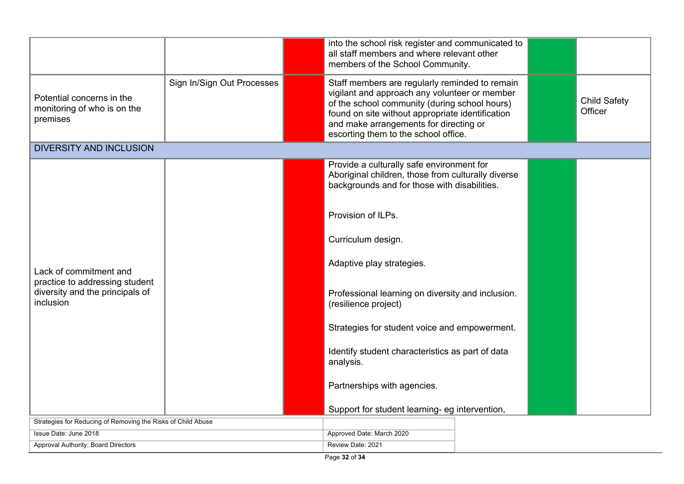|                                                                                                          |                            |                           | into the school risk register and communicated to<br>all staff members and where relevant other<br>members of the School Community.                                                                                                                                                    |  |                                |
|----------------------------------------------------------------------------------------------------------|----------------------------|---------------------------|----------------------------------------------------------------------------------------------------------------------------------------------------------------------------------------------------------------------------------------------------------------------------------------|--|--------------------------------|
| Potential concerns in the<br>monitoring of who is on the<br>premises                                     | Sign In/Sign Out Processes |                           | Staff members are regularly reminded to remain<br>vigilant and approach any volunteer or member<br>of the school community (during school hours)<br>found on site without appropriate identification<br>and make arrangements for directing or<br>escorting them to the school office. |  | <b>Child Safety</b><br>Officer |
| <b>DIVERSITY AND INCLUSION</b>                                                                           |                            |                           |                                                                                                                                                                                                                                                                                        |  |                                |
|                                                                                                          |                            |                           | Provide a culturally safe environment for<br>Aboriginal children, those from culturally diverse<br>backgrounds and for those with disabilities.                                                                                                                                        |  |                                |
| Lack of commitment and<br>practice to addressing student<br>diversity and the principals of<br>inclusion |                            |                           | Provision of ILPs.                                                                                                                                                                                                                                                                     |  |                                |
|                                                                                                          |                            |                           | Curriculum design.                                                                                                                                                                                                                                                                     |  |                                |
|                                                                                                          |                            |                           | Adaptive play strategies.                                                                                                                                                                                                                                                              |  |                                |
|                                                                                                          |                            |                           | Professional learning on diversity and inclusion.<br>(resilience project)                                                                                                                                                                                                              |  |                                |
|                                                                                                          |                            |                           | Strategies for student voice and empowerment.                                                                                                                                                                                                                                          |  |                                |
|                                                                                                          |                            |                           | Identify student characteristics as part of data<br>analysis.                                                                                                                                                                                                                          |  |                                |
|                                                                                                          |                            |                           | Partnerships with agencies.                                                                                                                                                                                                                                                            |  |                                |
|                                                                                                          |                            |                           | Support for student learning- eg intervention,                                                                                                                                                                                                                                         |  |                                |
| Strategies for Reducing of Removing the Risks of Child Abuse                                             |                            |                           |                                                                                                                                                                                                                                                                                        |  |                                |
| Issue Date: June 2018                                                                                    |                            | Approved Date: March 2020 |                                                                                                                                                                                                                                                                                        |  |                                |
| Approval Authority: Board Directors                                                                      |                            | Review Date: 2021         |                                                                                                                                                                                                                                                                                        |  |                                |

 $\overline{\phantom{a}}$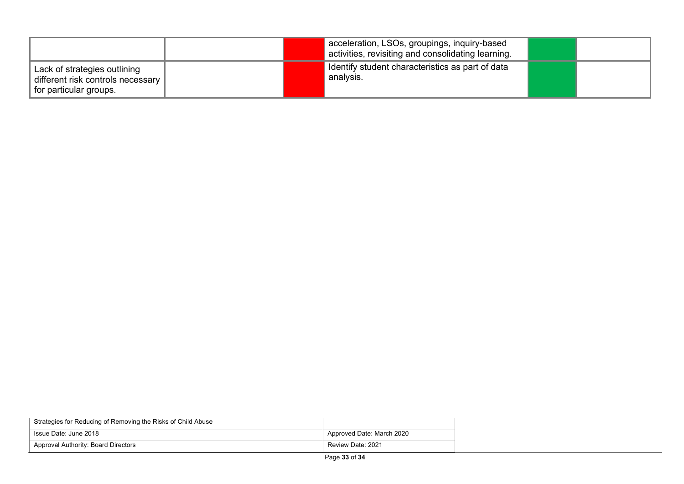|                                                                                             | acceleration, LSOs, groupings, inquiry-based<br>activities, revisiting and consolidating learning. |  |
|---------------------------------------------------------------------------------------------|----------------------------------------------------------------------------------------------------|--|
| Lack of strategies outlining<br>different risk controls necessary<br>for particular groups. | I dentify student characteristics as part of data<br>analysis.                                     |  |

| Strategies for Reducing of Removing the Risks of Child Abuse |                           |
|--------------------------------------------------------------|---------------------------|
| Issue Date: June 2018                                        | Approved Date: March 2020 |
| Approval Authority: Board Directors                          | Review Date: 2021         |